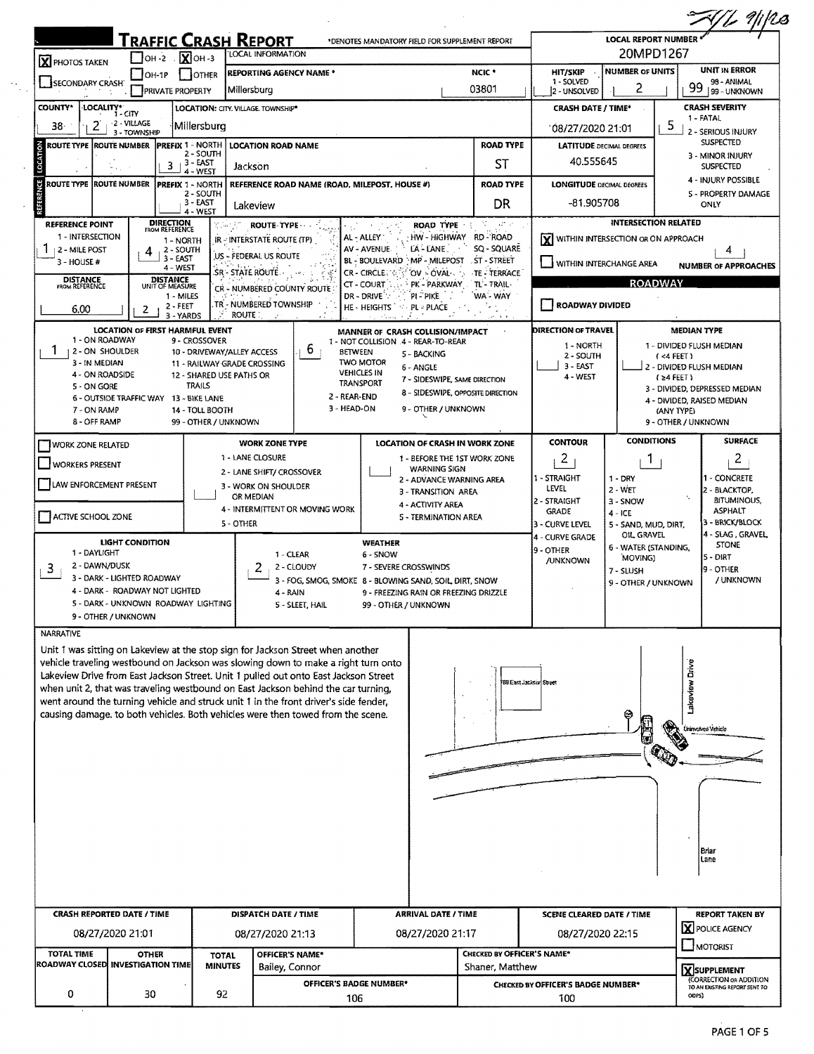|                                                                            | <b>TRAFFIC CRASH REPORT</b>                         | <b>LOCAL REPORT NUMBE</b><br>20MPD1267                    |                                                                                                                                                                                                                                                                                                                                                                                                                                                                                                                             |                                                                       |                                                                   |                                                      |                                    |                |                                                                                  |  |
|----------------------------------------------------------------------------|-----------------------------------------------------|-----------------------------------------------------------|-----------------------------------------------------------------------------------------------------------------------------------------------------------------------------------------------------------------------------------------------------------------------------------------------------------------------------------------------------------------------------------------------------------------------------------------------------------------------------------------------------------------------------|-----------------------------------------------------------------------|-------------------------------------------------------------------|------------------------------------------------------|------------------------------------|----------------|----------------------------------------------------------------------------------|--|
| <b>X</b> PHOTOS TAKEN                                                      | $\Box$ OH -2 $\Box$                                 | $X$ OH-3                                                  | LOCAL INFORMATION                                                                                                                                                                                                                                                                                                                                                                                                                                                                                                           |                                                                       | <b>UNIT IN ERROR</b><br><b>NUMBER OF UNITS</b><br><b>HIT/SKIP</b> |                                                      |                                    |                |                                                                                  |  |
| <b>SECONDARY CRASH</b>                                                     | <b>OH-1P</b><br>PRIVATE PROPERTY                    | OTHER                                                     | <b>REPORTING AGENCY NAME *</b><br>Millersburg                                                                                                                                                                                                                                                                                                                                                                                                                                                                               |                                                                       | NCIC <sup>+</sup><br>03801                                        | 1 - SOLVED<br>2 - UNSOLVED                           | 2                                  |                | 98 - ANIMAL<br>99<br>99 - UNKNOWN                                                |  |
| <b>COUNTY*</b><br>LOCALITY*                                                | $1 - CIN$                                           | LOCATION: CITY. VILLAGE. TOWNSHIP*                        |                                                                                                                                                                                                                                                                                                                                                                                                                                                                                                                             |                                                                       |                                                                   | <b>CRASH DATE / TIME*</b>                            |                                    |                | <b>CRASH SEVERITY</b>                                                            |  |
| 2<br>38.                                                                   | -2 - VILLAGE                                        | Millersburg                                               |                                                                                                                                                                                                                                                                                                                                                                                                                                                                                                                             |                                                                       |                                                                   | 08/27/2020 21:01                                     |                                    | 5              | 1 - FATAL                                                                        |  |
| <b>ROUTE TYPE</b>                                                          | 3 - TOWNSHIP<br><b>ROUTE NUMBER</b>                 | <b>PREFIX 1 - NORTH</b>                                   | <b>LOCATION ROAD NAME</b>                                                                                                                                                                                                                                                                                                                                                                                                                                                                                                   |                                                                       | <b>ROAD TYPE</b>                                                  | <b>LATITUDE DECIMAL DEGREES</b>                      |                                    |                | 2 - SERIOUS INJURY<br><b>SUSPECTED</b>                                           |  |
|                                                                            | $3 + 3 - EAST$                                      | 2 - SOUTH                                                 |                                                                                                                                                                                                                                                                                                                                                                                                                                                                                                                             |                                                                       | ST                                                                | 40.555645                                            |                                    |                | 3 - MINOR INJURY                                                                 |  |
| g                                                                          |                                                     | $4 - WEST$                                                | Jackson                                                                                                                                                                                                                                                                                                                                                                                                                                                                                                                     |                                                                       |                                                                   |                                                      |                                    |                | <b>SUSPECTED</b><br>4 - INJURY POSSIBLE                                          |  |
| <b>ROUTE TYPE</b>                                                          | <b>ROUTE NUMBER</b><br><b>PREFIX 1 - NORTH</b>      | 2 - SOUTH                                                 | REFERENCE ROAD NAME (ROAD, MILEPOST, HOUSE #)                                                                                                                                                                                                                                                                                                                                                                                                                                                                               |                                                                       | <b>ROAD TYPE</b>                                                  | <b>LONGITUDE DECIMAL DEGREES</b>                     |                                    |                | 5 - PROPERTY DAMAGE                                                              |  |
|                                                                            |                                                     | 3 - EAST<br>4 - WEST                                      | Lakeview                                                                                                                                                                                                                                                                                                                                                                                                                                                                                                                    |                                                                       | DR                                                                | $-81.905708$                                         |                                    |                | ONLY                                                                             |  |
| <b>REFERENCE POINT</b>                                                     | <b>DIRECTION</b><br>FROM REFERENCE                  |                                                           | ROUTE TYPE                                                                                                                                                                                                                                                                                                                                                                                                                                                                                                                  | ROAD TYPE<br>不可                                                       | М.<br>$\sim 10^{11}$ $\sim$                                       |                                                      | <b>INTERSECTION RELATED</b>        |                |                                                                                  |  |
| 1 - INTERSECTION                                                           | 1 - NORTH                                           |                                                           | IR - INTERSTATE ROUTE (TP)                                                                                                                                                                                                                                                                                                                                                                                                                                                                                                  | HW - HIGHWAY<br>AL - ALLEY.                                           | <b>RD-ROAD</b>                                                    | <b>X</b> WITHIN INTERSECTION OR ON APPROACH          |                                    |                |                                                                                  |  |
| 2 - MILE POST<br>$3 - HOUSE #$                                             | 2 - SOUTH<br>3 - EAST                               |                                                           | US – FEDERAL US ROUTE                                                                                                                                                                                                                                                                                                                                                                                                                                                                                                       | LA - LANE<br>AV - AVENUE<br>BL - BOULEVARD MP - MILEPOST ST - STREET  | SQ - SQUARE                                                       | WITHIN INTERCHANGE AREA                              |                                    |                | 4                                                                                |  |
|                                                                            | 4 - WEST<br><b>DISTANCE</b>                         |                                                           | SR - STATE ROUTE                                                                                                                                                                                                                                                                                                                                                                                                                                                                                                            | OV - OVAL - 1<br><b>CR-CIRCLE</b>                                     | TE - TERRACE                                                      |                                                      |                                    |                | <b>NUMBER OF APPROACHES</b>                                                      |  |
| <b>DISTANCE</b><br>FROM REFERENCE                                          | UNIT OF MEASURE<br>1 - MILES                        |                                                           | CR – NUMBERED COUNTY ROUTE                                                                                                                                                                                                                                                                                                                                                                                                                                                                                                  | CT - COURT<br>PK - PARKWAY<br>DR - DRIVE<br>PI-PIKE                   | TL'- TRAIL-<br>WA - WAY                                           |                                                      |                                    | <b>ROADWAY</b> |                                                                                  |  |
| 6.00                                                                       | 2 - FEET<br>2                                       |                                                           | TR - NUMBERED TOWNSHIP                                                                                                                                                                                                                                                                                                                                                                                                                                                                                                      | HE - HEIGHTS<br><b>PL = PLACE</b>                                     |                                                                   | ROADWAY DIVIDED                                      |                                    |                |                                                                                  |  |
|                                                                            | 3 - YARDS<br><b>LOCATION OF FIRST HARMFUL EVENT</b> | <b>ROUTE</b>                                              |                                                                                                                                                                                                                                                                                                                                                                                                                                                                                                                             | MANNER OF CRASH COLLISION/IMPACT                                      |                                                                   | DIRECTION OF TRAVEL                                  |                                    |                | <b>MEDIAN TYPE</b>                                                               |  |
| 1 - ON ROADWAY                                                             |                                                     | 9 - CROSSOVER                                             |                                                                                                                                                                                                                                                                                                                                                                                                                                                                                                                             | 1 - NOT COLLISION 4 - REAR-TO-REAR                                    |                                                                   | 1 - NORTH                                            |                                    |                | 1 - DIVIDED FLUSH MEDIAN                                                         |  |
| 1<br>  2 - ON SHOULDER<br>3 - IN MEDIAN                                    |                                                     | 10 - DRIVEWAY/ALLEY ACCESS<br>11 - RAILWAY GRADE CROSSING | 6                                                                                                                                                                                                                                                                                                                                                                                                                                                                                                                           | <b>BETWEEN</b><br>5 - BACKING<br><b>TWO MOTOR</b>                     |                                                                   | 2 - SOUTH                                            |                                    | $($ <4 FEET)   |                                                                                  |  |
| 4 - ON ROADSIDE                                                            |                                                     | 12 - SHARED USE PATHS OR                                  |                                                                                                                                                                                                                                                                                                                                                                                                                                                                                                                             | 6 - ANGLE<br><b>VEHICLES IN</b><br>7 - SIDESWIPE, SAME DIRECTION      |                                                                   | $3 - EAST$<br>4 - WEST                               |                                    | (≥4 FEET)      | 2 - DIVIDED FLUSH MEDIAN                                                         |  |
| 5 - ON GORE                                                                | 6 - OUTSIDE TRAFFIC WAY 13 - BIKE LANE              | <b>TRAILS</b>                                             |                                                                                                                                                                                                                                                                                                                                                                                                                                                                                                                             | <b>TRANSPORT</b><br>8 - SIDESWIPE, OPPOSITE DIRECTION<br>2 - REAR-END |                                                                   |                                                      |                                    |                | 3 - DIVIDED, DEPRESSED MEDIAN                                                    |  |
| 7 - ON RAMP                                                                |                                                     | 14 - TOLL BOOTH                                           |                                                                                                                                                                                                                                                                                                                                                                                                                                                                                                                             | 3 - HEAD-ON<br>9 - OTHER / UNKNOWN                                    |                                                                   |                                                      |                                    | (ANY TYPE)     | 4 - DIVIDED, RAISED MEDIAN                                                       |  |
| 8 - OFF RAMP                                                               |                                                     | 99 - OTHER / UNKNOWN                                      |                                                                                                                                                                                                                                                                                                                                                                                                                                                                                                                             |                                                                       |                                                                   |                                                      |                                    |                | 9 - OTHER / UNKNOWN                                                              |  |
| <b>WORK ZONE RELATED</b>                                                   |                                                     |                                                           | <b>WORK ZONE TYPE</b>                                                                                                                                                                                                                                                                                                                                                                                                                                                                                                       | <b>LOCATION OF CRASH IN WORK ZONE</b>                                 |                                                                   | <b>CONTOUR</b>                                       | <b>CONDITIONS</b>                  |                | <b>SURFACE</b>                                                                   |  |
| <b>WORKERS PRESENT</b>                                                     |                                                     |                                                           | 1 - LANE CLOSURE                                                                                                                                                                                                                                                                                                                                                                                                                                                                                                            | 1 - BEFORE THE 1ST WORK ZONE                                          |                                                                   | $\overline{a}$                                       | 1                                  |                | $\overline{z}$                                                                   |  |
|                                                                            |                                                     |                                                           | 2 - LANE SHIFT/ CROSSOVER                                                                                                                                                                                                                                                                                                                                                                                                                                                                                                   | <b>WARNING SIGN</b><br>2 - ADVANCE WARNING AREA                       |                                                                   | 1 - STRAIGHT                                         | $1 - DRY$                          |                | I - CONCRETE                                                                     |  |
| LAW ENFORCEMENT PRESENT                                                    |                                                     |                                                           | 3 - WORK ON SHOULDER<br>OR MEDIAN                                                                                                                                                                                                                                                                                                                                                                                                                                                                                           | 3 - TRANSITION AREA                                                   |                                                                   | LEVEL<br>2 - STRAIGHT                                | 2 - WET                            |                | 2 - BLACKTOP,<br><b>BITUMINOUS,</b>                                              |  |
| ACTIVE SCHOOL ZONE                                                         |                                                     |                                                           | 4 - INTERMITTENT OR MOVING WORK                                                                                                                                                                                                                                                                                                                                                                                                                                                                                             | <b>4 - ACTIVITY AREA</b><br>5 - TERMINATION AREA                      |                                                                   | <b>GRADE</b>                                         | 3 - SNOW<br>$4 - ICE$              |                | <b>ASPHALT</b>                                                                   |  |
|                                                                            |                                                     | 5 - OTHER                                                 |                                                                                                                                                                                                                                                                                                                                                                                                                                                                                                                             |                                                                       |                                                                   | 3 - CURVE LEVEL                                      | 5 - SAND, MUD, DIRT.<br>OIL GRAVEL |                | 3 - BRICK/BLOCK<br>4 - SLAG, GRAVEL                                              |  |
| 1 - DAYLIGHT                                                               | <b>LIGHT CONDITION</b>                              |                                                           |                                                                                                                                                                                                                                                                                                                                                                                                                                                                                                                             | <b>WEATHER</b>                                                        |                                                                   | 4 - CURVE GRADE<br><b>9 - OTHER</b>                  | 6 - WATER (STANDING,               |                | <b>STONE</b>                                                                     |  |
| 2 - DAWN/DUSK<br>3                                                         |                                                     |                                                           | 1 - CLEAR<br>2 - CLOUDY                                                                                                                                                                                                                                                                                                                                                                                                                                                                                                     | 6 - SNOW<br>7 - SEVERE CROSSWINDS                                     |                                                                   | <b>/UNKNOWN</b>                                      | MOVING)                            |                | $5 - DIRT$<br>9 - OTHER                                                          |  |
|                                                                            | 3 - DARK - LIGHTED ROADWAY                          |                                                           |                                                                                                                                                                                                                                                                                                                                                                                                                                                                                                                             | 3 - FOG, SMOG, SMOKE 8 - BLOWING SAND, SOIL, DIRT, SNOW               |                                                                   |                                                      | 7 - SLUSH<br>9 - OTHER / UNKNOWN   |                | / UNKNOWN                                                                        |  |
|                                                                            | 4 - DARK - ROADWAY NOT LIGHTED                      |                                                           | 4 - RAIN                                                                                                                                                                                                                                                                                                                                                                                                                                                                                                                    | 9 - FREEZING RAIN OR FREEZING DRIZZLE                                 |                                                                   |                                                      |                                    |                |                                                                                  |  |
| 9 - OTHER / UNKNOWN                                                        | 5 - DARK - UNKNOWN ROADWAY LIGHTING                 |                                                           | 5 - SLEET, HAIL                                                                                                                                                                                                                                                                                                                                                                                                                                                                                                             | 99 - OTHER / UNKNOWN                                                  |                                                                   |                                                      |                                    |                |                                                                                  |  |
| NARRATIVE                                                                  |                                                     |                                                           |                                                                                                                                                                                                                                                                                                                                                                                                                                                                                                                             |                                                                       |                                                                   |                                                      |                                    |                |                                                                                  |  |
|                                                                            |                                                     |                                                           | Unit 1 was sitting on Lakeview at the stop sign for Jackson Street when another<br>vehicle traveling westbound on Jackson was slowing down to make a right turn onto<br>Lakeview Drive from East Jackson Street. Unit 1 pulled out onto East Jackson Street<br>when unit 2, that was traveling westbound on East Jackson behind the car turning,<br>went around the turning vehicle and struck unit 1 in the front driver's side fender,<br>causing damage. to both vehicles. Both vehicles were then towed from the scene. |                                                                       |                                                                   | 788 East Jackson Street                              |                                    | Drive          | Lakeview<br>Unimoved Vehicle                                                     |  |
|                                                                            |                                                     |                                                           |                                                                                                                                                                                                                                                                                                                                                                                                                                                                                                                             |                                                                       |                                                                   |                                                      |                                    |                | Briar<br>Lane                                                                    |  |
| <b>CRASH REPORTED DATE / TIME</b><br>08/27/2020 21:01<br><b>TOTAL TIME</b> | <b>OTHER</b>                                        |                                                           | DISPATCH DATE / TIME<br>08/27/2020 21:13<br>OFFICER'S NAME*                                                                                                                                                                                                                                                                                                                                                                                                                                                                 | <b>ARRIVAL DATE / TIME</b><br>08/27/2020 21:17                        | <b>CHECKED BY OFFICER'S NAME*</b>                                 | <b>SCENE CLEARED DATE / TIME</b><br>08/27/2020 22:15 |                                    |                | <b>REPORT TAKEN BY</b><br><b>X</b> POLICE AGENCY<br>MOTORIST                     |  |
| ROADWAY CLOSED INVESTIGATION TIME                                          |                                                     | <b>TOTAL</b><br><b>MINUTES</b>                            | Bailey, Connor                                                                                                                                                                                                                                                                                                                                                                                                                                                                                                              |                                                                       | Shaner, Matthew                                                   |                                                      |                                    |                |                                                                                  |  |
| 0                                                                          | 30                                                  | 92                                                        |                                                                                                                                                                                                                                                                                                                                                                                                                                                                                                                             | OFFICER'S BADGE NUMBER*                                               |                                                                   | CHECKED BY OFFICER'S BADGE NUMBER*                   |                                    |                | XSUPPLEMENT<br>(CORRECTION OR ADDITION<br>TO AN EXISTING REPORT SENT TO<br>ODPS) |  |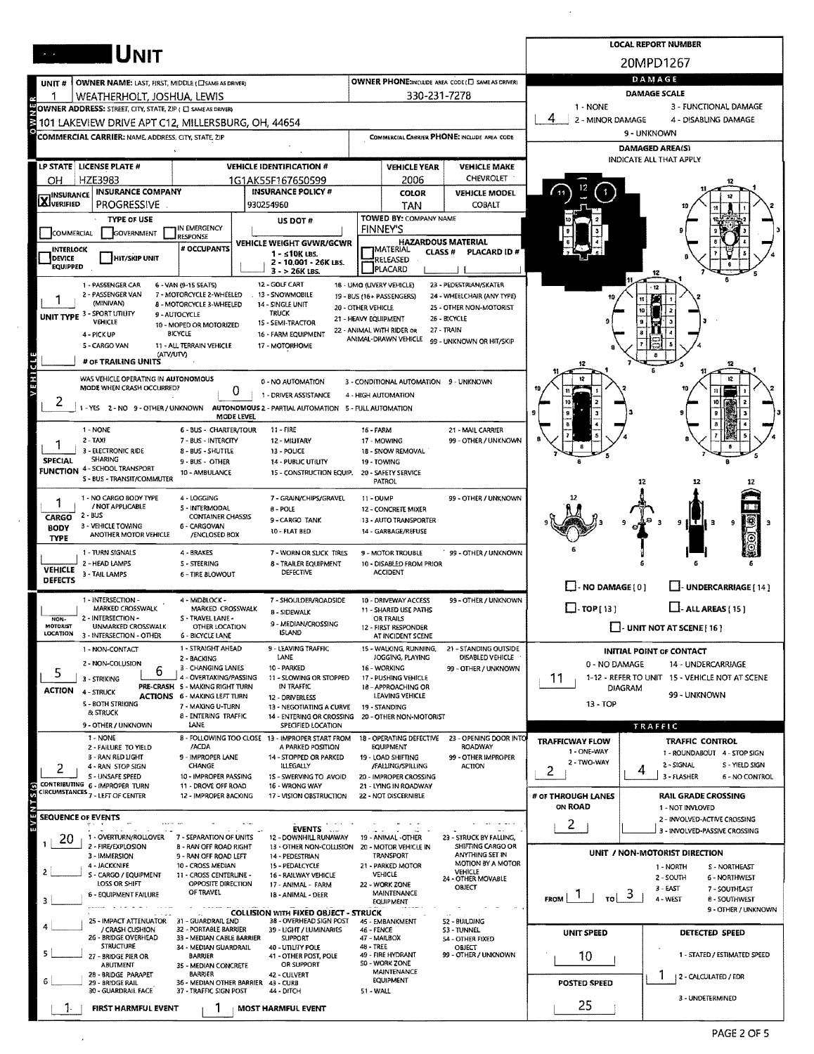|                                   | <b>IUNIT</b>                                                                               |                                                          |                                                                         |                      |                                                         |                                                          |                            | <b>LOCAL REPORT NUMBER</b>                               |                                                                      |
|-----------------------------------|--------------------------------------------------------------------------------------------|----------------------------------------------------------|-------------------------------------------------------------------------|----------------------|---------------------------------------------------------|----------------------------------------------------------|----------------------------|----------------------------------------------------------|----------------------------------------------------------------------|
|                                   |                                                                                            |                                                          |                                                                         |                      |                                                         |                                                          |                            | 20MPD1267                                                |                                                                      |
| UNIT#                             | <b>OWNER NAME: LAST, FIRST, MIDDLE (CI SAME AS DRIVER)</b>                                 |                                                          |                                                                         |                      |                                                         | <b>OWNER PHONE:INCLUDE AREA CODE (C) SAME AS DRIVER)</b> |                            | DAMAGE                                                   |                                                                      |
|                                   | WEATHERHOLT, JOSHUA, LEWIS<br>OWNER ADDRESS: STREET, CITY, STATE, ZIP ( C) SAME AS DRIVER) |                                                          |                                                                         |                      | 330-231-7278                                            |                                                          | 1 - NONE                   | <b>DAMAGE SCALE</b>                                      | 3 - FUNCTIONAL DAMAGE                                                |
|                                   | 101 LAKEVIEW DRIVE APT C12, MILLERSBURG, OH, 44654                                         |                                                          |                                                                         |                      |                                                         |                                                          | 4<br>2 - MINOR DAMAGE      |                                                          | 4 - DISABLING DAMAGE                                                 |
|                                   | <b>COMMERCIAL CARRIER: NAME ADDRESS, CITY, STATE, ZIP</b>                                  |                                                          |                                                                         |                      |                                                         | COMMERCIAL CARRIER PHONE: INCLUDE AREA CODE              |                            | 9 - UNKNOWN                                              |                                                                      |
|                                   |                                                                                            |                                                          |                                                                         |                      |                                                         |                                                          |                            | <b>DAMAGED AREA(S)</b><br><b>INDICATE ALL THAT APPLY</b> |                                                                      |
|                                   | LP STATE   LICENSE PLATE #                                                                 |                                                          | <b>VEHICLE IDENTIFICATION #</b>                                         |                      | <b>VEHICLE YEAR</b>                                     | <b>VEHICLE MAKE</b><br><b>CHEVROLET</b>                  |                            |                                                          |                                                                      |
| ΟH                                | <b>HZE3983</b><br><b>INSURANCE COMPANY</b>                                                 |                                                          | 1G1AK55F167650599<br><b>INSURANCE POLICY #</b>                          |                      | 2006<br><b>COLOR</b>                                    | <b>VEHICLE MODEL</b>                                     |                            |                                                          |                                                                      |
| <b>X</b> INSURANCE                | PROGRESSIVE                                                                                |                                                          | 930254960                                                               |                      | <b>TAN</b>                                              | COBALT                                                   |                            |                                                          |                                                                      |
|                                   | <b>TYPE OF USE</b>                                                                         | IN EMERGENCY                                             | US DOT #                                                                |                      | TOWED BY: COMPANY NAME                                  |                                                          |                            |                                                          |                                                                      |
| <b>COMMERCIAL</b>                 | GOVERNMENT                                                                                 | RESPONSE                                                 | VEHICLE WEIGHT GVWR/GCWR                                                |                      | <b>FINNEY'S</b><br>HAZARDOUS MATERIAL                   |                                                          |                            |                                                          |                                                                      |
| <b>INTERLOCK</b><br><b>DEVICE</b> | <b>HIT/SKIP UNIT</b>                                                                       | # OCCUPANTS                                              | $1 - 10K$ LBS.<br>2 - 10,001 - 26K LBS.                                 |                      | <b>CLASS #</b><br>RELEASED                              | PLACARD ID#                                              |                            |                                                          |                                                                      |
| <b>EQUIPPED</b>                   |                                                                                            |                                                          | $3 - 26K$ LBS.                                                          |                      | PLACARD                                                 |                                                          |                            | 12                                                       |                                                                      |
|                                   | 1 - PASSENGER CAR<br>2 - PASSENGER VAN                                                     | 6 - VAN (9-15 SEATS)<br>7 - MOTORCYCLE 2-WHEELED         | 12 - GOLF CART<br>13 - SNOWMOBILE                                       |                      | 18 - LIMO (LIVERY VEHICLE)<br>19 - BUS (16+ PASSENGERS) | 23 - PEDESTRIAN/SKATER<br>24 - WHEELCHAIR (ANY TYPE)     |                            |                                                          |                                                                      |
|                                   | (MINIVAN)<br>UNIT TYPE 3 - SPORT UTILITY                                                   | 8 - MOTORCYCLE 3-WHEELED<br>9 - AUTOCYCLE                | 14 - SINGLE UNIT<br><b>TRUCK</b>                                        | 20 - OTHER VEHICLE   |                                                         | 25 - OTHER NON-MOTORIST                                  |                            |                                                          |                                                                      |
|                                   | VEHICLE                                                                                    | 10 - MOPED OR MOTORIZED                                  | 15 - SEMI-TRACTOR                                                       | 21 - HEAVY EQUIPMENT | 22 - ANIMAL WITH RIDER OR                               | 26 - BICYCLE<br>27 - TRAIN                               |                            |                                                          |                                                                      |
|                                   | 4 - PICK UP<br>5 - CARGO VAN                                                               | <b>BICYCLE</b><br>11 - ALL TERRAIN VEHICLE               | 16 - FARM EQUIPMENT<br>17 - MOTORHOME                                   |                      | ANIMAL-DRAWN VEHICLE                                    | 99 - UNKNOWN OR HIT/SKIP                                 |                            |                                                          |                                                                      |
|                                   | (ATV/UTV)<br># OF TRAILING UNITS                                                           |                                                          |                                                                         |                      |                                                         |                                                          |                            |                                                          |                                                                      |
| VEHICLE                           | WAS VEHICLE OPERATING IN AUTONOMOUS                                                        |                                                          | 0 - NO AUTOMATION                                                       |                      | 3 - CONDITIONAL AUTOMATION 9 - UNKNOWN                  |                                                          |                            |                                                          |                                                                      |
|                                   | MODE WHEN CRASH OCCURRED?                                                                  | 0                                                        | 1 - DRIVER ASSISTANCE                                                   |                      | 4 - HIGH AUTOMATION                                     |                                                          |                            |                                                          |                                                                      |
| Z                                 | YES 2-NO 9-OTHER/UNKNOWN                                                                   | MODE LEVEL                                               | AUTONOMOUS 2 - PARTIAL AUTOMATION 5 - FULL AUTOMATION                   |                      |                                                         |                                                          |                            |                                                          |                                                                      |
|                                   | 1 - NONE                                                                                   | 6 - BUS - CHARTER/TOUR                                   | $11 - FIRE$                                                             | 16 - FARM            |                                                         | 21 - MAIL CARRIER                                        |                            |                                                          |                                                                      |
|                                   | $2 - TAXI$<br>3 - ELECTRONIC RIDE                                                          | 7 - BUS - INTERCITY<br>8 - BUS - SHUTTLE                 | 12 - MILITARY<br>13 - POLICE                                            |                      | 17 - MOWING<br>18 - SNOW REMOVAL                        | 99 - OTHER / UNKNOWN                                     |                            |                                                          |                                                                      |
| <b>SPECIAL</b>                    | SHARING<br><b>FUNCTION 4 - SCHOOL TRANSPORT</b>                                            | 9 BUS - OTHER                                            | 14 - PUBLIC UTILITY                                                     |                      | 19 - TOWING                                             |                                                          |                            |                                                          |                                                                      |
|                                   | S - BUS - TRANSIT/COMMUTER                                                                 | 10 - AMBULANCE                                           | 15 - CONSTRUCTION EQUIP.                                                |                      | 20 - SAFETY SERVICE<br><b>PATROL</b>                    |                                                          |                            | 12                                                       |                                                                      |
|                                   | 1 - NO CARGO BODY TYPE                                                                     | 4 - LOGGING                                              | 7 - GRAIN/CHIPS/GRAVEL                                                  | 11 - DUMP            |                                                         | 99 - OTHER / UNKNOWN                                     |                            |                                                          |                                                                      |
| <b>CARGO</b>                      | / NOT APPLICABLE<br>2 - BUS                                                                | 5 - INTERMODAL<br><b>CONTAINER CHASSIS</b>               | 8 - POLE<br>9-CARGO TANK                                                |                      | 12 - CONCRETE MIXER<br>13 - AUTO TRANSPORTER            |                                                          |                            |                                                          |                                                                      |
| <b>BODY</b><br><b>TYPE</b>        | 3 - VEHICLE TOWING<br>ANOTHER MOTOR VEHICLE                                                | 6 - CARGOVAN<br>/ENCLOSED BOX                            | 10 - FLAT BED                                                           |                      | 14 - GARBAGE/REFUSE                                     |                                                          |                            | 3                                                        | 9 HTH                                                                |
|                                   | 1 - TURN SIGNALS                                                                           | 4 - BRAKES                                               | 7 - WORN OR SLICK TIRES                                                 |                      | 9 - MOTOR TROUBLE                                       | 99 - OTHER / UNKNOWN                                     |                            |                                                          |                                                                      |
| <b>VEHICLE</b>                    | 2 - HEAD LAMPS<br>3 - TAIL LAMPS                                                           | <b>S-STEERING</b>                                        | 8 - TRAILER EQUIPMENT<br><b>DEFECTIVE</b>                               |                      | 10 - DISABLED FROM PRIOR<br><b>ACCIDENT</b>             |                                                          |                            |                                                          |                                                                      |
| <b>DEFECTS</b>                    |                                                                                            | 6 - TIRE BLOWOUT                                         |                                                                         |                      |                                                         |                                                          | $\Box$ - NO DAMAGE [ 0 ]   |                                                          | U-UNDERCARRIAGE [14]                                                 |
|                                   | 1 - INTERSECTION -<br>MARKED CROSSWALK                                                     | 4 - MIDBLOCK -<br>MARKED CROSSWALK                       | 7 - SHOULDER/ROADSIDE                                                   |                      | 10 - DRIVEWAY ACCESS<br>11 - SHARED USE PATHS           | 99 - OTHER / UNKNOWN                                     | $\Box$ -TOP[13]            |                                                          | $\Box$ - ALL AREAS (15)                                              |
| NON-<br><b>OTORIST</b>            | 2 - INTERSECTION -<br><b>UNMARKED CROSSWALK</b>                                            | S - TRAVEL LANE -<br>OTHER LOCATION                      | <b>B-SIDEWALK</b><br>9 - MEDIAN/CROSSING                                |                      | OR TRAILS                                               |                                                          |                            |                                                          |                                                                      |
| <b>LOCATION</b>                   | 3 - INTERSECTION - OTHER                                                                   | 6 - BICYCLE LANE                                         | <b>ISLAND</b>                                                           |                      | 12 - FIRST RESPONDER<br>AT INCIDENT SCENE               |                                                          |                            | $\Box$ - UNIT NOT AT SCENE [ 16 ]                        |                                                                      |
|                                   | 1 - NON-CONTACT                                                                            | 1 - STRAIGHT AHEAD<br>2 - BACKING                        | 9 - LEAVING TRAFFIC<br><b>LANE</b>                                      |                      | 15 - WALKING, RUNNING,<br>JOGGING, PLAYING              | 21 - STANDING OUTSIDE<br>DISABLED VEHICLE                |                            | <b>INITIAL POINT OF CONTACT</b>                          |                                                                      |
| 5                                 | 2 - NON-COLUSION<br>b                                                                      | 3 - CHANGING LANES<br>4 - OVERTAKING/PASSING             | 10 - PARKED<br>11 - SLOWING OR STOPPED                                  |                      | 16 - WORKING<br>17 - PUSHING VEHICLE                    | 99 - OTHER / UNKNOWN                                     | 0 - NO DAMAGE              |                                                          | 14 - UNDERCARRIAGE<br>1-12 - REFER TO UNIT 15 - VEHICLE NOT AT SCENE |
| <b>ACTION</b>                     | 3 - STRIKING<br>4 - STRUCK                                                                 | PRE-CRASH 5 - MAKING RIGHT TURN                          | IN TRAFFIC                                                              |                      | 18 - APPROACHING OR                                     |                                                          | 11                         | DIAGRAM                                                  |                                                                      |
|                                   | 5 - BOTH STRIKING                                                                          | <b>ACTIONS 6 - MAKING LEFT TURN</b><br>7 - MAKING U-TURN | 12 - DRIVERLESS<br>13 - NEGOTIATING A CURVE                             |                      | LEAVING VEHICLE<br>19 - STANDING                        |                                                          | 13 - TOP                   |                                                          | 99 - UNKNOWN                                                         |
|                                   | & STRUCK<br>9 - OTHER / UNKNOWN                                                            | 8 - ENTERING TRAFFIC<br>LANE                             | 14 - ENTERING OR CROSSING 20 - OTHER NON-MOTORIST<br>SPECIFIED LOCATION |                      |                                                         |                                                          |                            | TRAFFIC                                                  |                                                                      |
|                                   | $1 - NONE$<br>2 - FAILURE TO YIELD                                                         | /ACDA                                                    | B - FOLLOWING TOO CLOSE 13 - IMPROPER START FROM<br>A PARKED POSITION   |                      | 18 - OPERATING DEFECTIVE<br><b>EQUIPMENT</b>            | 23 - OPENING DOOR INTO<br>ROADWAY                        | <b>TRAFFICWAY FLOW</b>     |                                                          | TRAFFIC CONTROL                                                      |
|                                   | 3 - RAN RED LIGHT                                                                          | 9 - IMPROPER LANE                                        | 14 - STOPPED OR PARKED                                                  |                      | 19 - LOAD SHIFTING                                      | 99 - OTHER IMPROPER                                      | 1 - ONE-WAY<br>2 - TWO-WAY | 2 - SIGNAL                                               | 1 - ROUNDABOUT 4 - STOP SIGN<br>S - YIELD SIGN                       |
| 2                                 | 4 - RAN STOP SIGN<br>S - UNSAFE SPEED                                                      | CHANGE<br>10 - IMPROPER PASSING                          | ILLEGALLY<br>1S - SWERVING TO AVOID                                     |                      | /FALLING/SPILLING<br>20 - IMPROPER CROSSING             | <b>ACTION</b>                                            | 2                          | 4<br>3 - FLASHER                                         | 6 - NO CONTROL                                                       |
| (5)                               | CONTRIBUTING 6 - IMPROPER TURN<br>CIRCUMSTANCES 7 - LEFT OF CENTER                         | 11 - DROVE OFF ROAD<br>12 - IMPROPER BACKING             | 16 - WRONG WAY<br>17 - VISION OBSTRUCTION                               |                      | 21 - LYING IN ROADWAY<br>22 - NOT DISCERNIBLE           |                                                          | # OF THROUGH LANES         |                                                          | <b>RAIL GRADE CROSSING</b>                                           |
| <b>SEQUENCE OF EVENTS</b>         |                                                                                            |                                                          |                                                                         |                      |                                                         |                                                          | <b>ON ROAD</b>             | 1 - NOT INVLOVED                                         |                                                                      |
|                                   |                                                                                            |                                                          | <b>EVENTS</b>                                                           |                      |                                                         |                                                          | $\mathbf{2}$               |                                                          | 2 - INVOLVED-ACTIVE CROSSING<br>3 - INVOLVED-PASSIVE CROSSING        |
| 20                                | 1 - OVERTURN/ROLLOVER<br>2 - FIRE/EXPLOSION                                                | 7 - SEPARATION OF UNITS<br><b>B - RAN OFF ROAD RIGHT</b> | 12 - DOWNHILL RUNAWAY<br>13 - OTHER NON-COLLISION                       |                      | 19 - ANIMAL -OTHER<br>20 - MOTOR VEHICLE IN             | 23 - STRUCK BY FALLING,<br>SHIFTING CARGO OR             |                            |                                                          |                                                                      |
|                                   | 3 - IMMERSION<br>4 - JACKKNIFE                                                             | 9 - RAN OFF ROAD LEFT<br>10 - CROSS MEDIAN               | 14 - PEDESTRIAN<br>15 - PEDALCYCLE                                      |                      | TRANSPORT<br>21 - PARKED MOTOR                          | ANYTHING SET IN<br>MOTION BY A MOTOR                     |                            | UNIT / NON-MOTORIST DIRECTION<br>1 - NORTH               | S - NORTHEAST                                                        |
|                                   | S - CARGO / EQUIPMENT<br>LOSS OR SHIFT                                                     | 11 - CROSS CENTERLINE -<br>OPPOSITE DIRECTION            | 16 - RAILWAY VEHICLE<br>17 - ANIMAL - FARM                              |                      | VEHICLE<br>22 - WORK ZONE                               | <b>VEHICLE</b><br>24 - OTHER MOVABLE                     |                            | 2 - SOUTH                                                | <b>6 - NORTHWEST</b>                                                 |
|                                   | 6 - EQUIPMENT FAILURE                                                                      | OF TRAVEL                                                | 18 - ANIMAL - DEER                                                      |                      | MAINTENANCE<br><b>EQUIPMENT</b>                         | OBJECT                                                   | TO !<br><b>FROM</b>        | 3 - EAST<br>3<br>4 - WEST                                | 7 - SOUTHEAST<br>8 - SOUTHWEST                                       |
|                                   | <b>Service Administration</b>                                                              |                                                          | <b>COLLISION WITH FIXED OBJECT - STRUCK</b>                             |                      |                                                         |                                                          |                            |                                                          | 9 - OTHER / UNKNOWN                                                  |
|                                   | 25 - IMPACT ATTENUATOR<br>/ CRASH CUSHION<br>26 - BRIDGE OVERHEAD                          | 31 - GUARDRAIL END<br>32 - PORTABLE BARRIER              | 38 - OVERHEAD SIGN POST<br>39 - LIGHT / LUMINARIES                      | 46 - FENCE           | 45 - EMBANKMENT                                         | 52 - BUILDING<br>53 - TUNNEL                             | UNIT SPEED                 |                                                          | DETECTED SPEED                                                       |
|                                   | <b>STRUCTURE</b>                                                                           | 33 - MEDIAN CABLE BARRIER<br>34 - MEDIAN GUARDRAIL       | <b>SUPPORT</b><br>40 - UTILITY POLE                                     | 48 - TREE            | 47 - MAILBOX                                            | 54 - OTHER FIXED<br>OBJECT                               |                            |                                                          |                                                                      |
|                                   | 27 - BRIDGE PIER OR<br>ABUTMENT                                                            | <b>BARRIER</b><br>35 - MEDIAN CONCRETE                   | 41 - OTHER POST, POLE<br>OR SUPPORT                                     |                      | 49 - FIRE HYDRANT<br><b>SO-WORK ZONE</b><br>MAINTENANCE | 99 - OTHER / UNKNOWN                                     | 10                         |                                                          | 1 - STATED / ESTIMATED SPEED                                         |
|                                   | 28 - BRIDGE PARAPET<br>29 - BRIDGE RAIL                                                    | <b>BARRIER</b><br>36 - MEDIAN OTHER BARRIER 43 - CURB    | 42 - CULVERT                                                            |                      | EQUIPMENT                                               |                                                          | <b>POSTED SPEED</b>        |                                                          | 2 - CALCULATED / EDR                                                 |
|                                   | 30 - GUARDRAIL FACE                                                                        | 37 - TRAFFIC SIGN POST                                   | 44 - DITCH                                                              | 51 - WALL            |                                                         |                                                          |                            |                                                          | 3 - UNDETERMINED                                                     |
|                                   | FIRST HARMFUL EVENT                                                                        | 1                                                        | <b>MOST HARMFUL EVENT</b>                                               |                      |                                                         |                                                          | 25                         |                                                          |                                                                      |

 $\mathcal{L}^{\mathcal{A}}$ 

 $\hat{\mathcal{L}}$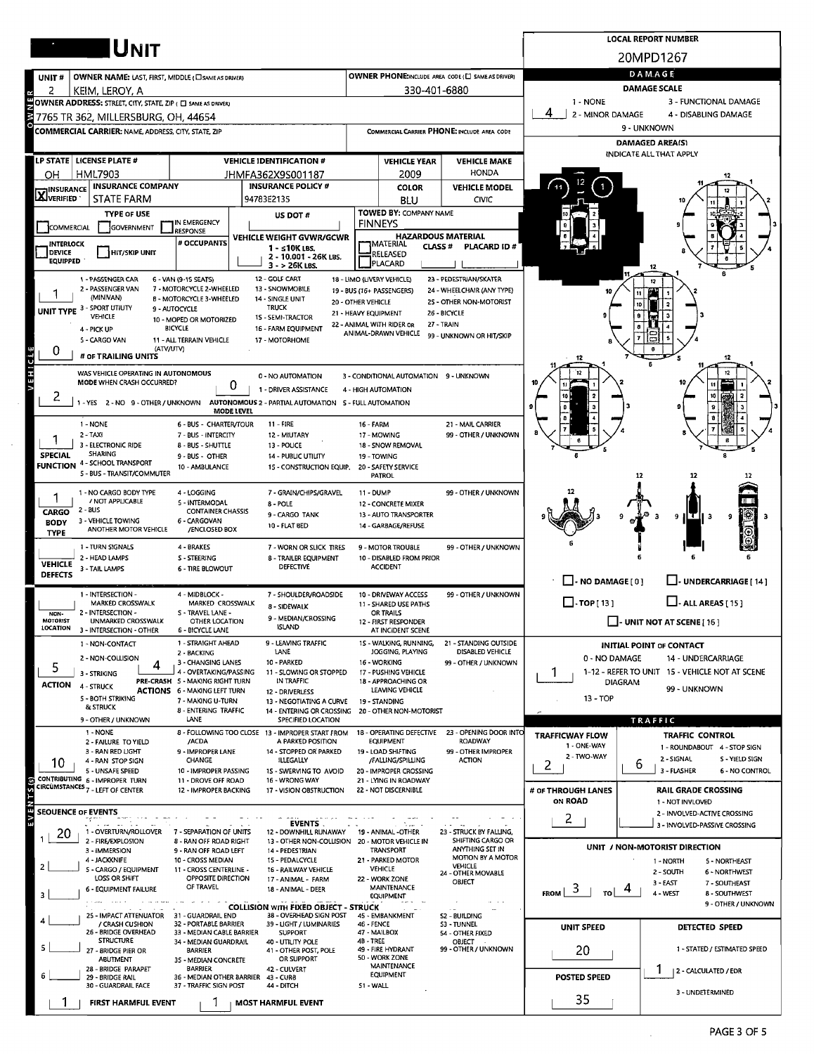|                                  | <b>IU</b> nit                                                                            |                                                             |                                                                                |                                            |                                                                |                                                   |                               | <b>LOCAL REPORT NUMBER</b><br>20MPD1267                  |
|----------------------------------|------------------------------------------------------------------------------------------|-------------------------------------------------------------|--------------------------------------------------------------------------------|--------------------------------------------|----------------------------------------------------------------|---------------------------------------------------|-------------------------------|----------------------------------------------------------|
|                                  |                                                                                          |                                                             |                                                                                |                                            |                                                                |                                                   |                               | DAMAGE                                                   |
| UNIT #                           | OWNER NAME: LAST, FIRST, MIDDLE (CISAME AS DRIVER)                                       |                                                             |                                                                                |                                            |                                                                | OWNER PHONE:INCLUDE AREA CODE (E) SAME AS DRIVER) |                               |                                                          |
| 2                                | Keim, Leroy, A                                                                           |                                                             |                                                                                |                                            | 330-401-6880                                                   |                                                   | 1 - NONE                      | <b>DAMAGE SCALE</b><br>3 - FUNCTIONAL DAMAGE             |
|                                  | OWNER ADDRESS: STREET, CITY, STATE, ZIP ( O SAME AS DRIVER)                              |                                                             |                                                                                |                                            |                                                                |                                                   | 4<br>2 - MINOR DAMAGE         | 4 - DISABLING DAMAGE                                     |
|                                  | 17765 TR 362, MILLERSBURG, OH, 44654                                                     |                                                             |                                                                                |                                            |                                                                |                                                   |                               | 9 - UNKNOWN                                              |
|                                  | <b>COMMERCIAL CARRIER: NAME, ADDRESS, CITY, STATE, ZIP</b>                               |                                                             |                                                                                |                                            |                                                                | COMMERCIAL CARRIER PHONE: INCLUDE AREA CODE       |                               |                                                          |
|                                  |                                                                                          |                                                             |                                                                                |                                            |                                                                |                                                   |                               | <b>DAMAGED AREA(S)</b><br><b>INDICATE ALL THAT APPLY</b> |
|                                  | LP STATE   LICENSE PLATE #                                                               |                                                             | <b>VEHICLE IDENTIFICATION #</b>                                                |                                            | <b>VEHICLE YEAR</b>                                            | <b>VEHICLE MAKE</b>                               |                               |                                                          |
| ΟH                               | HML7903                                                                                  |                                                             | JHMFA362X9S001187                                                              |                                            | 2009                                                           | <b>HONDA</b>                                      |                               |                                                          |
| <b>X</b> WSURANCE                | <b>INSURANCE COMPANY</b>                                                                 |                                                             | <b>INSURANCE POLICY #</b>                                                      |                                            | <b>COLOR</b>                                                   | <b>VEHICLE MODEL</b>                              |                               |                                                          |
|                                  | STATE FARM                                                                               |                                                             | 94783E2135                                                                     |                                            | <b>BLU</b>                                                     | CIVIC                                             |                               |                                                          |
|                                  | <b>TYPE OF USE</b>                                                                       |                                                             | US DOT #                                                                       |                                            | <b>TOWED BY: COMPANY NAME</b>                                  |                                                   |                               |                                                          |
| COMMERCIAL                       | GOVERNMENT                                                                               | IN EMERGENCY<br><b>RESPONSE</b>                             |                                                                                |                                            | <b>FINNEYS</b>                                                 |                                                   |                               |                                                          |
| <b>INTERLOCK</b>                 |                                                                                          | # OCCUPANTS                                                 | VEHICLE WEIGHT GVWR/GCWR                                                       |                                            | <b>HAZARDOUS MATERIAL</b><br><b>IMATERIAL</b><br><b>CLASS#</b> | <b>PLACARD ID#</b>                                |                               |                                                          |
| <b>DEVICE</b><br><b>EQUIPPED</b> | <b>HIT/SKIP UNIT</b>                                                                     |                                                             | $1 - \leq 10K$ LBS.<br>2 - 10.001 - 26K LBS.                                   |                                            | RELEASED                                                       |                                                   |                               |                                                          |
|                                  |                                                                                          |                                                             | 3 - > 26K LBS.                                                                 |                                            | PLACARD                                                        |                                                   |                               |                                                          |
|                                  | 1 - PASSENGER CAR                                                                        | 6 - VAN (9-15 SEATS)                                        | 12 - GOLF CART                                                                 |                                            | 18 - LIMO (LIVERY VEHICLE)                                     | 23 - PEDESTRIAN/SKATER                            |                               |                                                          |
|                                  | 2 - PASSENGER VAN<br>(MINIVAN)                                                           | 7 - MOTORCYCLE 2-WHEELED<br><b>B - MOTORCYCLE 3-WHEELED</b> | 13 - SNOWMOBILE<br>14 - SINGLE UNIT                                            |                                            | 19 - BUS (16+ PASSENGERS)                                      | 24 - WHEELCHAIR (ANY TYPE)                        |                               |                                                          |
|                                  | <b>UNIT TYPE 3 - SPORT UTIUTY</b>                                                        | 9 - AUTOCYCLE                                               | <b>TRUCK</b>                                                                   | 20 - OTHER VEHICLE<br>21 - HEAVY EQUIPMENT |                                                                | 25 - OTHER NON-MOTORIST<br>26 - BICYCLE           |                               |                                                          |
|                                  | <b>VEHICLE</b>                                                                           | 10 - MOPED OR MOTORIZED                                     | 15 - SEMI-TRACTOR                                                              |                                            | 22 - ANIMAL WITH RIDER OR                                      | 27 - TRAIN                                        |                               | -3                                                       |
|                                  | 4 - PICK UP<br>5 - CARGO VAN                                                             | <b>BICYCLE</b><br>11 - ALL TERRAIN VEHICLE                  | 16 - FARM EQUIPMENT<br>17 - MOTORHOME                                          |                                            | ANIMAL-DRAWN VEHICLE                                           | 99 - UNKNOWN OR HIT/SKIP                          |                               |                                                          |
| O                                | (ATV/UTV)                                                                                |                                                             |                                                                                |                                            |                                                                |                                                   |                               |                                                          |
| بن<br>ا                          | # OF TRAILING UNITS                                                                      |                                                             |                                                                                |                                            |                                                                |                                                   |                               |                                                          |
|                                  | WAS VEHICLE OPERATING IN AUTONOMOUS                                                      |                                                             | 0 - NO AUTOMATION                                                              |                                            | 3 - CONDITIONAL AUTOMATION 9 - UNKNOWN                         |                                                   |                               |                                                          |
| <b>VEHI</b>                      | MODE WHEN CRASH OCCURRED?                                                                | 0                                                           | 1 - DRIVER ASSISTANCE                                                          |                                            | 4 - HIGH AUTOMATION                                            |                                                   |                               |                                                          |
| z                                | 1 - YES 2 - NO 9 - OTHER / UNKNOWN AUTONOMOUS 2 - PARTIAL AUTOMATION 5 - FULL AUTOMATION |                                                             |                                                                                |                                            |                                                                |                                                   |                               | 10                                                       |
|                                  |                                                                                          | MODE LEVEL                                                  |                                                                                |                                            |                                                                |                                                   | 9                             |                                                          |
|                                  | 1 - NONE                                                                                 | 6 - BUS - CHARTER/TOUR                                      | 11 - FIRE                                                                      | 16 - FARM                                  |                                                                | 21 - MAIL CARRIER                                 |                               |                                                          |
|                                  | $2 - TAX$                                                                                | 7 - BUS - INTERCITY                                         | 12 - MIUTARY                                                                   |                                            | 17 - MOWING                                                    | 99 - OTHER / UNKNOWN                              |                               |                                                          |
| <b>SPECIAL</b>                   | 3 - ELECTRONIC RIDE<br>SHARING                                                           | <b>8 - BUS - SHUTTLE</b>                                    | 13 - POLICE                                                                    |                                            | 18 - SNOW REMOVAL                                              |                                                   |                               |                                                          |
|                                  | <b>FUNCTION 4 - SCHOOL TRANSPORT</b>                                                     | 9 - BUS - OTHER<br>10 - AMBULANCE                           | <b>14 - PUBLIC UTILITY</b><br>15 - CONSTRUCTION EQUIP.                         |                                            | 19 - TOWING<br>20 - SAFETY SERVICE                             |                                                   |                               |                                                          |
|                                  | <b>S - BUS - TRANSIT/COMMUTER</b>                                                        |                                                             |                                                                                |                                            | PATROL                                                         |                                                   |                               | 12<br>12                                                 |
|                                  | 1 - NO CARGO BODY TYPE                                                                   | 4 - LOGGING                                                 | 7 - GRAIN/CHIPS/GRAVEL                                                         | 11 - DUMP                                  |                                                                | 99 - OTHER / UNKNOWN                              |                               |                                                          |
|                                  | / NOT APPLICABLE                                                                         | 5 - INTERMODAL                                              | 8 - POLE                                                                       |                                            | 12 - CONCRETE MIXER                                            |                                                   |                               |                                                          |
| <b>CARGO</b>                     | 2 - BUS                                                                                  | <b>CONTAINER CHASSIS</b>                                    | 9 - CARGO TANK                                                                 |                                            | 13 - AUTO TRANSPORTER                                          |                                                   |                               | 9<br>9<br>э                                              |
| <b>BODY</b>                      | 3 - VEHICLE TOWING<br>ANOTHER MOTOR VEHICLE                                              | 6 - CARGOVAN<br>/ENCLOSED BOX                               | 10 - FLAT BED                                                                  |                                            | 14 - GARBAGE/REFUSE                                            |                                                   |                               |                                                          |
| <b>TYPE</b>                      |                                                                                          |                                                             |                                                                                |                                            |                                                                |                                                   |                               |                                                          |
|                                  | 1 - TURN SIGNALS                                                                         | 4 - BRAKES                                                  | 7 - WORN OR SLICK TIRES                                                        |                                            | 9 - MOTOR TROUBLE                                              | 99 - OTHER / UNKNOWN                              |                               |                                                          |
| <b>VEHICLE</b>                   | 2 - HEAD LAMPS<br>3 - TAIL LAMPS                                                         | S - STEERING<br><b>6 - TIRE BLOWOUT</b>                     | <b>8 - TRAILER EQUIPMENT</b><br><b>DEFECTIVE</b>                               |                                            | 10 - DISABLED FROM PRIOR<br><b>ACCIDENT</b>                    |                                                   |                               |                                                          |
| <b>DEFECTS</b>                   |                                                                                          |                                                             |                                                                                |                                            |                                                                |                                                   | $\Box$ - NO DAMAGE [ 0 ]      | $\Box$ - UNDERCARRIAGE [ 14 ]                            |
|                                  | 1 - INTERSECTION -                                                                       | 4 - MIDBLOCK -                                              | 7 - SHOULDER/ROADSIDE                                                          |                                            | 10 - DRIVEWAY ACCESS                                           | 99 - OTHER / UNKNOWN                              |                               |                                                          |
|                                  | MARKED CROSSWALK                                                                         | MARKED CROSSWALK                                            | 8 - SIDEWALK                                                                   |                                            | 11 - SHARED USE PATHS                                          |                                                   | $\Box$ -TOP[13]               | $\square$ - ALL AREAS [ 15 ]                             |
| NON-<br><b>IOTORIST</b>          | 2 - INTERSECTION -<br>UNMARKED CROSSWALK                                                 | S - TRAVEL LANE -<br>OTHER LOCATION                         | 9 - MEDIAN/CROSSING                                                            |                                            | OR TRAILS                                                      |                                                   |                               |                                                          |
| <b>LOCATION</b>                  | 3 - INTERSECTION - OTHER                                                                 | <b>6 - BICYCLE LANE</b>                                     | <b>ISLAND</b>                                                                  |                                            | 2 - FIRST RESPONDER<br>AT INCIDENT SCENE                       |                                                   |                               | $\Box$ - UNIT NOT AT SCENE [16]                          |
|                                  | 1 - NON-CONTACT                                                                          | 1 - STRAIGHT AHEAD                                          | 9 - LEAVING TRAFFIC                                                            |                                            | 15 - WALKING, RUNNING,                                         | 21 - STANDING OUTSIDE                             |                               | <b>INITIAL POINT OF CONTACT</b>                          |
|                                  | 2 - NON-COLLISION                                                                        | 2 - BACKING                                                 | LANE                                                                           |                                            | JOGGING, PLAYING                                               | DISABLED VEHICLE                                  | 0 - NO DAMAGE                 | 14 - UNDERCARRIAGE                                       |
| 5                                | 4                                                                                        | 3 - CHANGING LANES<br>4 - OVERTAKING/PASSING                | 10 - PARKED<br>11 - SLOWING OR STOPPED                                         |                                            | 16 - WORKING<br>17 - PUSHING VEHICLE                           | 99 - OTHER / UNKNOWN                              |                               | 1-12 - REFER TO UNIT 15 - VEHICLE NOT AT SCENE           |
| <b>ACTION</b>                    | 3 - STRIKING                                                                             | PRE-CRASH 5 - MAKING RIGHT TURN                             | IN TRAFFIC                                                                     |                                            | 18 - APPROACHING OR                                            |                                                   | I.<br>DIAGRAM                 |                                                          |
|                                  | 4 - STRUCK                                                                               | <b>ACTIONS 6 - MAKING LEFT TURN</b>                         | 12 - DRIVERLESS                                                                |                                            | LEAVING VEHICLE                                                |                                                   |                               | 99 - UNKNOWN                                             |
|                                  | <b>S - BOTH STRIKING</b><br>& STRUCK                                                     | 7 - MAKING U-TURN<br>8 - ENTERING TRAFFIC                   | 13 - NEGOTIATING A CURVE<br>14 - ENTERING OR CROSSING  20 - OTHER NON-MOTORIST |                                            | 19 - STANDING                                                  |                                                   | 13 - TOP                      |                                                          |
|                                  | 9 - OTHER / UNKNOWN                                                                      | LANE                                                        | SPECIFIED LOCATION                                                             |                                            |                                                                |                                                   |                               | <b>TRAFFIC</b>                                           |
|                                  | 1 - NONE                                                                                 |                                                             | 8 - FOLLOWING TOO CLOSE 13 - IMPROPER START FROM                               |                                            | 18 - OPERATING DEFECTIVE                                       | 23 - OPENING DOOR INTO                            | <b>TRAFFICWAY FLOW</b>        | <b>TRAFFIC CONTROL</b>                                   |
|                                  | 2 - FAILURE TO YIELD                                                                     | /ACDA                                                       | A PARKED POSITION                                                              |                                            | <b>EQUIPMENT</b>                                               | <b>ROADWAY</b>                                    | 1 - ONE-WAY                   | 1 - ROUNDABOUT 4 - STOP SIGN                             |
|                                  | 3 - RAN RED LIGHT<br>4 - RAN STOP SIGN                                                   | 9 - IMPROPER LANE<br><b>CHANGE</b>                          | 14 - STOPPED OR PARKED<br>ILLEGALLY                                            |                                            | 19 - LOAD SHIFTING<br>/FALLING/SPILLING                        | 99 - OTHER IMPROPER<br><b>ACTION</b>              | 2 - TWO-WAY                   | 2 - SIGNAL<br>S - YIELD SIGN                             |
| 10                               | 5 - UNSAFE SPEED                                                                         | 10 - IMPROPER PASSING                                       | 1S - SWERVING TO AVOID                                                         |                                            | 20 - IMPROPER CROSSING                                         |                                                   | 2                             | ь<br>3 - FLASHER<br>6 - NO CONTROL                       |
|                                  | CONTRIBUTING 6 - IMPROPER TURN<br>CIRCUMSTANCES <sub>7</sub> - LEFT OF CENTER            | 11 - DROVE OFF ROAD                                         | 16 - WRONG WAY                                                                 |                                            | 21 - LYING IN ROADWAY                                          |                                                   |                               |                                                          |
|                                  |                                                                                          | 12 - IMPROPER BACKING                                       | 17 - VISION OBSTRUCTION                                                        |                                            | 22 - NOT DISCERNIBLE                                           |                                                   | # OF THROUGH LANES<br>ON ROAD | <b>RAIL GRADE CROSSING</b><br>1 - NOT INVLOVED           |
| 즶                                | <b>SEOUENCE OF EVENTS</b>                                                                |                                                             |                                                                                |                                            |                                                                |                                                   |                               | 2 - INVOLVED-ACTIVE CROSSING                             |
| ΣV                               |                                                                                          |                                                             | <b>EVENTS</b>                                                                  |                                            |                                                                |                                                   | 2                             | 3 - INVOLVED-PASSIVE CROSSING                            |
| 20.                              | 1 - OVERTURN/ROLLOVER                                                                    | 7 - SEPARATION OF UNITS                                     | 12 - DOWNHILL RUNAWAY 19 - ANIMAL -OTHER                                       |                                            |                                                                | 23 - STRUCK BY FALLING,<br>SHIFTING CARGO OR      |                               |                                                          |
|                                  | 2 - FIRE/EXPLOSION<br>3 - IMMERSION                                                      | 8 - RAN OFF ROAD RIGHT<br>9 - RAN OFF ROAD LEFT             | 13 - OTHER NON-COLLISION 20 - MOTOR VEHICLE IN<br>14 - PEDESTRIAN              |                                            | TRANSPORT                                                      | ANYTHING SET IN                                   |                               | UNIT / NON-MOTORIST DIRECTION                            |
|                                  | 4 - JACKKNIFE                                                                            | 10 - CROSS MEDIAN                                           | 15 - PEDALCYCLE                                                                |                                            | 21 - PARKED MOTOR                                              | MOTION BY A MOTOR<br><b>VEHICLE</b>               |                               | 1 - NORTH<br>5 - NORTHEAST                               |
|                                  | S - CARGO / EQUIPMENT<br>LOSS OR SHIFT                                                   | 11 - CROSS CENTERLINE -<br>OPPOSITE DIRECTION               | 16 - RAILWAY VEHICLE                                                           |                                            | <b>VEHICLE</b><br>22 - WORK ZONE                               | 24 - OTHER MOVABLE                                |                               | 2 - SOUTH<br>6 - NORTHWEST                               |
|                                  | 6 - EQUIPMENT FAILURE                                                                    | OF TRAVEL                                                   | 17 - ANIMAL - FARM<br>18 - ANIMAL - DEER                                       |                                            | MAINTENANCE                                                    | OBJECT                                            | 3.                            | $3 - EAST$<br>7 - SOUTHEAST                              |
| з                                | <b>Service Street</b>                                                                    |                                                             |                                                                                |                                            | <b>EQUIPMENT</b>                                               |                                                   | <b>FROM</b><br>TO             | 4 - WEST<br><b>B - SOUTHWEST</b><br>9 - OTHER / UNKNOWN  |
|                                  | 25 - IMPACT ATTENUATOR                                                                   | 31 - GUARDRAIL END                                          | <b>COLLISION WITH FIXED OBJECT - STRUCK</b><br>38 - OVERHEAD SIGN POST         |                                            | 45 - EMBANKMENT                                                | S2 - BUILDING                                     |                               |                                                          |
|                                  | / CRASH CUSHION                                                                          | 32 - PORTABLE BARRIER                                       | 39 - LIGHT / LUMINARIES                                                        | 46 - FENCE                                 |                                                                | 53 - TUNNEL                                       | <b>UNIT SPEED</b>             | DETECTED SPEED                                           |
|                                  | 26 - BRIDGE OVERHEAD<br><b>STRUCTURE</b>                                                 | 33 - MEDIAN CABLE BARRIER<br>34 - MEDIAN GUARDRAIL          | <b>SUPPORT</b><br>40 - UTILITY POLE                                            | 4B - TREE                                  | 47 - MAILBOX                                                   | 54 - OTHER FIXED<br>OBJECT                        |                               |                                                          |
| 5                                | 27 - BRIDGE PIER OR                                                                      | <b>BARRIER</b>                                              | 41 - OTHER POST, POLE                                                          |                                            | 49 - FIRE HYDRANT                                              | 99 - OTHER / UNKNOWN                              | 20                            | 1 - STATED / ESTIMATED SPEED                             |
|                                  | ABUTMENT                                                                                 | 35 - MEDIAN CONCRETE                                        | OR SUPPORT                                                                     |                                            | 50 - WORK ZONE<br><b>MAINTENANCE</b>                           |                                                   |                               |                                                          |
|                                  | 28 - BRIDGE PARAPET<br>29 - BRIDGE RAIL                                                  | <b>BARRIER</b><br>36 - MEDIAN OTHER BARRIER 43 - CURB       | 42 - CULVERT                                                                   |                                            | <b>EQUIPMENT</b>                                               |                                                   | <b>POSTED SPEED</b>           | 2 - CALCULATED / EDR                                     |
|                                  | 30 - GUARDRAIL FACE                                                                      | 37 - TRAFFIC SIGN POST                                      | 44 - DITCH                                                                     | 51 WALL                                    |                                                                |                                                   |                               | 3 - UNDETERMINED                                         |
|                                  | <b>FIRST HARMFUL EVENT</b>                                                               | 1                                                           | <b>MOST HARMFUL EVENT</b>                                                      |                                            |                                                                |                                                   | 35                            |                                                          |

 $\sim$ 

 $\bar{z}$ 

 $\mathcal{L}^{\pm}$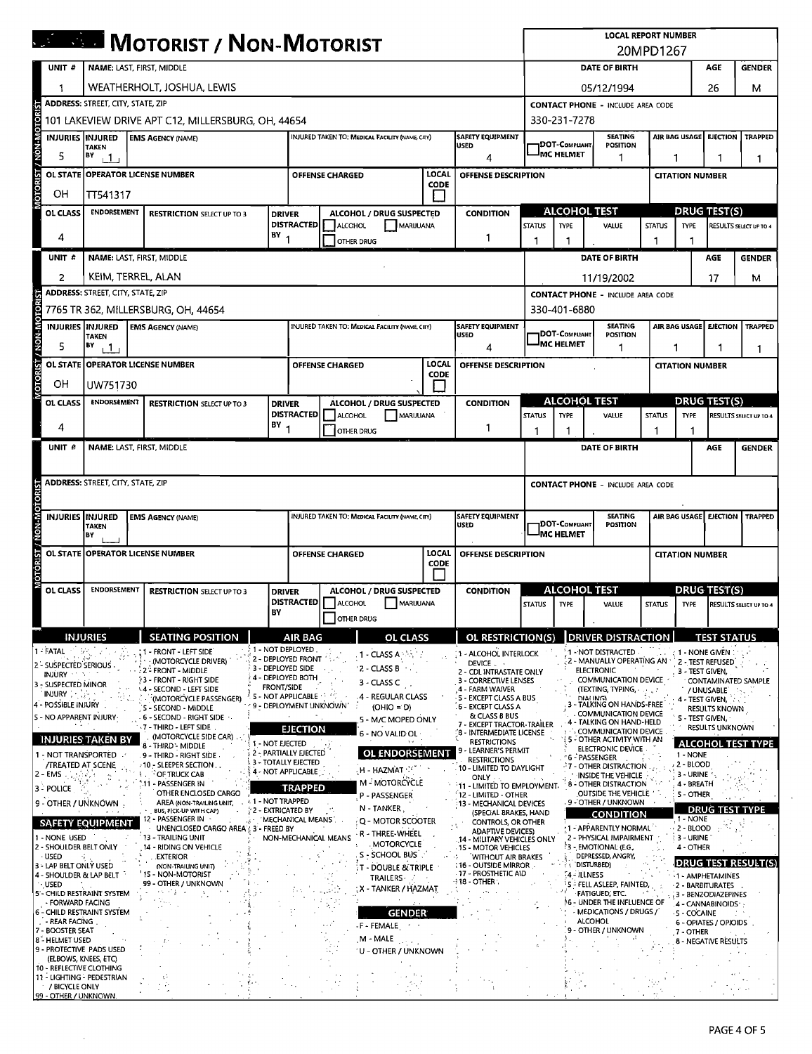| UNIT#<br>DATE OF BIRTH<br>AGE<br>NAME: LAST, FIRST, MIDDLE<br><b>GENDER</b><br>WEATHERHOLT, JOSHUA, LEWIS<br>26<br>05/12/1994<br>м<br><b>ADDRESS: STREET, CITY, STATE, ZIP</b><br><b>CONTACT PHONE - INCLUDE AREA CODE</b><br>330-231-7278<br>101 LAKEVIEW DRIVE APT C12, MILLERSBURG, OH, 44654<br><b>SAFETY EQUIPMENT</b><br><b>SEATING</b><br>AIR BAG USAGE EIECTION<br>INJURIES INJURED<br>INJURED TAKEN TO: MEDICAL FACILITY (NAME, CITY)<br><b>TRAPPED</b><br><b>EMS AGENCY (NAME)</b><br><b>DOT-COMPLIANT</b><br><b>USED</b><br>POSITION<br><b>TAKEN</b><br>IMC HELMET<br>BY<br>1<br>$+1$<br>4<br>1<br>1<br>1<br>5<br>LOCAL<br>OL STATE OPERATOR LICENSE NUMBER<br><b>OFFENSE CHARGED</b><br><b>OFFENSE DESCRIPTION</b><br><b>CITATION NUMBER</b><br>õ<br>CODE<br>OН<br>TT541317<br><b>ALCOHOL TEST</b><br>DRUG TEST(S)<br><b>ENDORSEMENT</b><br>OL CLASS<br>ALCOHOL / DRUG SUSPECTED<br><b>CONDITION</b><br><b>RESTRICTION SELECT UP TO 3</b><br><b>DRIVER</b><br>DISTRACTED<br><b>ALCOHOL</b><br>MARUUANA<br><b>STATUS</b><br><b>STATUS</b><br><b>TYPE</b><br>VALUE<br><b>TYPE</b><br>RESULTS SELECT UP TO 4<br>BY <sub>1</sub><br>4<br>1<br>OTHER DRUG<br>-1<br>-1<br>1<br>1<br>UNIT#<br>NAME: LAST, FIRST, MIDDLE<br><b>DATE OF BIRTH</b><br>AGE<br><b>GENDER</b><br>KEIM, TERREL, ALAN<br>2<br>11/19/2002<br>17<br>м<br><b>ADDRESS: STREET, CITY, STATE, ZIP</b><br><b>CONTACT PHONE - INCLUDE AREA CODE</b><br><b>NON-MOTOR</b><br>330-401-6880<br>7765 TR 362, MILLERSBURG, OH, 44654<br><b>SAFETY EQUIPMENT</b><br><b>INJURIES INJURED</b><br><b>INJURED TAKEN TO: MEDICAL FACILITY (NAME, CITY)</b><br><b>SEATING</b><br>AIR BAG USAGE<br><b>EJECTION</b><br><b>TRAPPED</b><br><b>EMS AGENCY (NAME)</b><br><b>DOT-COMPLIANT</b><br><b>USED</b><br><b>POSITION</b><br><b>TAKEN</b><br>IMC HELMET<br>5<br>BY<br>1<br>$+1$ +<br>4<br>1<br>1<br>1<br><b>OTORIST</b><br>LOCAL<br>OL STATE OPERATOR LICENSE NUMBER<br><b>OFFENSE DESCRIPTION</b><br><b>OFFENSE CHARGED</b><br><b>CITATION NUMBER</b><br>CODE<br>OН<br>UW751730<br><b>ALCOHOL TEST</b><br><b>DRUG TEST(S)</b><br><b>ENDORSEMENT</b><br>OL CLASS<br>ALCOHOL / DRUG SUSPECTED<br><b>CONDITION</b><br><b>RESTRICTION SELECT UP TO 3</b><br><b>DRIVER</b><br><b>DISTRACTED</b><br>ALCOHOL<br>MARIJUANA<br><b>STATUS</b><br>VALUE<br><b>STATUS</b><br>RESULTS SELECT UP TO 4<br><b>TYPE</b><br><b>TYPE</b><br>ΒY<br>1<br>4<br>OTHER DRUG<br>1<br>1<br>1<br>-1<br>UNIT #<br>NAME: LAST, FIRST, MIDDLE<br><b>AGE</b><br>DATE OF BIRTH<br><b>GENDER</b><br>ADDRESS: STREET, CITY, STATE, ZIP<br><b>CONTACT PHONE - INCLUDE AREA CODE</b><br>NON-MOTOI<br><b>INJURIES INJURED</b><br>INJURED TAKEN TO: MEDICAL FACILITY (NAME, CITY)<br><b>SAFETY EQUIPMENT</b><br><b>SEATING</b><br>AIR BAG USAGE<br><b>EJECTION</b><br><b>TRAPPED</b><br><b>EMS AGENCY (NAME)</b><br><b>DOT-COMPLIANT</b><br>USED<br>POSITION<br>TAKEN<br><b>IMC HELMET</b><br>BY<br>LOCAL<br>OL STATE OPERATOR LICENSE NUMBER<br>OFFENSE CHARGED<br>OFFENSE DESCRIPTION<br><b>CITATION NUMBER</b><br><b>OTORL</b><br>CODE<br><b>ALCOHOL TEST</b><br><b>DRUG TEST(S)</b><br><b>ENDORSEMENT</b><br>OL CLASS<br>ALCOHOL / DRUG SUSPECTED<br><b>CONDITION</b><br><b>RESTRICTION SELECT UP TO 3</b><br><b>DRIVER</b><br><b>DISTRACTED</b><br>ALCOHOL<br>MARUUANA<br><b>STATUS</b><br><b>TYPE</b><br>VALUE<br><b>STATUS</b><br><b>TYPE</b><br>RESULTS SELECT UP TO 4<br>BY<br><b>OTHER DRUG</b><br><b>INJURIES</b><br><b>OL RESTRICTION(S)</b><br><b>SEATING POSITION</b><br>OL CLASS<br><b>DRIVER DISTRACTION</b><br>AIR BAG<br><b>TEST STATUS</b><br>1 - NOT DEPLOYED<br>1 - FATAL<br>- FRONT - LEFT SIDE<br>1 - NOT DISTRACTED<br>1 - NONE GIVEN<br>1 - ALCOHOL INTERLOCK<br>. 1 - CLASS A $\mathbb{M}_\mathbb{N}$<br>2 - DEPLOYED FRONT<br>(MOTORCYCLE DRIVER)<br>2 - MANUALLY OPERATING AN<br>2 - TEST REFUSED<br>DEVICE.<br>2 - SUSPECTED SERIOUS<br>3 - DEPLOYED SIDE<br>2 - CLASS B<br>2* FRONT - MIDDLE<br><b>ELECTRONIC</b><br>2 - CDL INTRASTATE ONLY<br>3 - TEST GIVEN.<br>INJURY<br>4 - DEPLOYED BOTH<br>3 - FRONT - RIGHT SIDE<br>COMMUNICATION DEVICE<br>3 - CORRECTIVE LENSES<br>CONTAMINATED SAMPLE<br>3 - CLASS C<br>3 - SUSPECTED MINOR<br><b>FRONT/SIDE</b><br>4 - SECOND - LEFT SIDE<br>4 - FARM WAIVER<br>(TEXTING, TYPING,<br>/ UNUSABLE<br>INJURY :<br><b>5 - NOT APPLICABLE</b><br>4 - REGULAR CLASS<br>S - EXCEPT CLASS A BUS<br>DIAHNG)<br>(MOTORCYCLE PASSENGER)<br>4 - TEST GIVEN,<br>4 - POSSIBLE INJURY<br>TALKING ON HANDS-FREE<br>3<br>9 - DEPLOYMENT UNKNOWN'<br>$(OHIO = D)$<br>6 - EXCEPT CLASS A<br>S - SECOND - MIDDLE<br><b>RESULTS KNOWN</b><br>COMMUNICATION DEVICE<br>& CLASS B BUS<br>S - NO APPARENT INJURY<br>6 - SECOND - RIGHT SIDE<br>S - TEST GIVEN,<br>5 - M/C MOPED ONLY<br>- TALKING ON HAND-HELD<br>- EXCEPT TRACTOR-TRAILER<br>7 - THIRD - LEFT SIDE<br><b>RESULTS UNKNOWN</b><br><b>EJECTION</b><br>COMMUNICATION DEVICE<br>(8 - INTERMEDIATE LICENSE<br>6 - NO VALID OL<br>(MOTORCYCLE SIDE CAR)<br><b>INJURIES TAKEN BY</b><br>5 - OTHER ACTIVITY WITH AN<br><b>RESTRICTIONS</b><br>1 - NOT EJECTED<br><b>ALCOHOL TEST TYPE</b><br>8 - THIRD - MIDDLE<br>ELECTRONIC DEVICE<br>LEARNER'S PERMIT<br>2 - PARTIALLY EJECTED<br>OL ENDORSEMENT<br>1 - NONE<br>1 - NOT TRANSPORTED<br>9 - THIRD - RIGHT SIDE<br>"6 - PASSENGER<br><b>RESTRICTIONS</b><br>3 - TOTALLY EJECTED<br>2 - BLOOD<br><b>/TREATED AT SCENE</b><br>10 - SLEEPER SECTION<br><b>7 - OTHER DISTRACTION</b><br>10 - LIMITED TO DAYLIGHT<br>$\cdot$ H - HAZMAT $^{\circ}$<br>4 - NOT APPLICABLE<br>2 - EMS<br><b>OF TRUCK CAB</b><br>3 - URINE<br>INSIDE THE VEHICLE<br>ONLY -<br>M - MOTORCYCLE<br>- PASSENGER IN<br>4 - BREATH<br>- OTHER DISTRACTION<br>- 8<br>11 - LIMITED TO EMPLOYMENT.<br><b>TRAPPED</b><br>3 - POLICE<br>OTHER ENCLOSED CARGO<br>OUTSIDE THE VEHICLE<br><b>S-OTHER</b><br>P - PASSENGER<br>† 12 - LIMITED - OTHER<br>∗ 1 - NOT TRAPPED<br>9 - OTHER / UNKNOWN<br>AREA (NON-TRAILING UNIT,<br>9 - OTHER / UNKNOWN<br>13 - MECHANICAL DEVICES<br>N - TANKER<br><b>DRUG TEST TYPE</b><br>2 - EXTRICATED BY<br>BUS, PICK-UP WITH CAP)<br>(SPECIAL BRAKES, HAND<br>CONDITION<br>1 - NONE<br>2 - PASSENGER IN<br>'MECHANICAL MEANS<br>Q - MOTOR SCOOTER<br>CONTROLS, OR OTHER<br><b>SAFETY EQUIPMENT</b><br>: 1 - APPARENTLY NORMAL<br>$\cdot$ 2 - BLOOD<br>UNENCLOSED CARGO AREA : 3 - FREED BY<br><b>ADAPTIVE DEVICES)</b><br>R - THREE-WHEEL<br>1 - NONE USED<br>13 - TRAILING UNIT<br>2 - PHYSICAL IMPAIRMENT<br>3 - URINE<br>NON-MECHANICAL MEANS<br>14 - MILITARY VEHICLES ONLY<br>. MOTORCYCLE<br><sup>2</sup> 3 - EMOTIONAL (E.G.,<br>2 - SHOULDER BELT ONLY<br>14 - Riding on Vehicle<br>4 - OTHER<br><b>15 - MOTOR VEHICLES</b><br>S - SCHOOL BUS<br>DEPRESSED, ANGRY,<br><b>EXTERIOR</b><br>- USED<br><b>WITHOUT AIR BRAKES</b><br><b>DRUG TEST RESULT(S)</b><br><b>16 - OUTSIDE MIRROR</b><br>`DISTURBED)<br>3 - LAP BELT ONLY USED<br>(NON-TRAILING UNIT)<br>定型<br>T - DOUBLE & TRIPLE<br>- 17 - PROSTHETIC AID<br>15 - NON-MOTORIST<br>4 - SHOULDER & LAP BELT<br>`4 ÷ ILLNESS<br>1 - AMPHETAMINES<br><b>TRAILERS</b><br>-18 - OTHER .<br>99 - OTHER / UNKNOWN<br>· USED<br>`S:FELL ASLEEP, FAINTED,<br>2 - BARBITURATES<br>, X - TANKER / HAZMAT<br>5'- CHILD RESTRAINT SYSTEM<br>-11<br>FATIGUED, ETC.<br>, 3 - BENZODIAZEPINES<br>∤6 - UNDER THE INFLUENCE OF<br>- FORWARD FACING<br>4 - CANNABINOIDS ·<br>MEDICATIONS / DRUGS /<br>6 - CHILD RESTRAINT SYSTEM<br><b>GENDER</b><br><b>S - COCAINE</b><br><b>ALCOHOL</b><br>- REAR FACING<br>6 - OPIATES / OPIOIDS<br>-F - FEMALE<br>- OTHER / UNKNOWN<br>7 - BOOSTER SEAT<br>7 - OTHER<br>M - MALE  <br>8 - HELMET USED<br>8 - NEGATIVE RESULTS<br>9 - PROTECTIVE PADS USED<br>U - OTHER / UNKNOWN<br>(ELBOWS, KNEES, ETC) | <b>WE MOTORIST / NON-MOTORIST</b> |  |  |  |  |  |  |  |  | <b>LOCAL REPORT NUMBER</b><br>20MPD1267 |  |  |  |  |  |  |  |  |  |  |
|----------------------------------------------------------------------------------------------------------------------------------------------------------------------------------------------------------------------------------------------------------------------------------------------------------------------------------------------------------------------------------------------------------------------------------------------------------------------------------------------------------------------------------------------------------------------------------------------------------------------------------------------------------------------------------------------------------------------------------------------------------------------------------------------------------------------------------------------------------------------------------------------------------------------------------------------------------------------------------------------------------------------------------------------------------------------------------------------------------------------------------------------------------------------------------------------------------------------------------------------------------------------------------------------------------------------------------------------------------------------------------------------------------------------------------------------------------------------------------------------------------------------------------------------------------------------------------------------------------------------------------------------------------------------------------------------------------------------------------------------------------------------------------------------------------------------------------------------------------------------------------------------------------------------------------------------------------------------------------------------------------------------------------------------------------------------------------------------------------------------------------------------------------------------------------------------------------------------------------------------------------------------------------------------------------------------------------------------------------------------------------------------------------------------------------------------------------------------------------------------------------------------------------------------------------------------------------------------------------------------------------------------------------------------------------------------------------------------------------------------------------------------------------------------------------------------------------------------------------------------------------------------------------------------------------------------------------------------------------------------------------------------------------------------------------------------------------------------------------------------------------------------------------------------------------------------------------------------------------------------------------------------------------------------------------------------------------------------------------------------------------------------------------------------------------------------------------------------------------------------------------------------------------------------------------------------------------------------------------------------------------------------------------------------------------------------------------------------------------------------------------------------------------------------------------------------------------------------------------------------------------------------------------------------------------------------------------------------------------------------------------------------------------------------------------------------------------------------------------------------------------------------------------------------------------------------------------------------------------------------------------------------------------------------------------------------------------------------------------------------------------------------------------------------------------------------------------------------------------------------------------------------------------------------------------------------------------------------------------------------------------------------------------------------------------------------------------------------------------------------------------------------------------------------------------------------------------------------------------------------------------------------------------------------------------------------------------------------------------------------------------------------------------------------------------------------------------------------------------------------------------------------------------------------------------------------------------------------------------------------------------------------------------------------------------------------------------------------------------------------------------------------------------------------------------------------------------------------------------------------------------------------------------------------------------------------------------------------------------------------------------------------------------------------------------------------------------------------------------------------------------------------------------------------------------------------------------------------------------------------------------------------------------------------------------------------------------------------------------------------------------------------------------------------------------------------------------------------------------------------------------------------------------------------------------------------------------------------------------------------------------------------------------------------------------------------------------------------------------------------------------------------------------------------------------------------------------------------------------------------------------------------------------------------------------------------------------------------------------------------------------------------------------------------------------------------------------------------------------------------------------------------------------------------------------------------------------------------------------------------------------------------------------------------------------------------------------------------------------------------------------------------------------------------------------------------------------------------------------------------------------------------------------------------------------------------------------------------------------------------------------------------------------------------------------------------------------------------------------------------------------------------------------------------------------------------------------------------------------------------------------------------------------------------------------------------------------------------------------------------------------------------------------------------------------------------------------------------------------------------------------------|-----------------------------------|--|--|--|--|--|--|--|--|-----------------------------------------|--|--|--|--|--|--|--|--|--|--|
|                                                                                                                                                                                                                                                                                                                                                                                                                                                                                                                                                                                                                                                                                                                                                                                                                                                                                                                                                                                                                                                                                                                                                                                                                                                                                                                                                                                                                                                                                                                                                                                                                                                                                                                                                                                                                                                                                                                                                                                                                                                                                                                                                                                                                                                                                                                                                                                                                                                                                                                                                                                                                                                                                                                                                                                                                                                                                                                                                                                                                                                                                                                                                                                                                                                                                                                                                                                                                                                                                                                                                                                                                                                                                                                                                                                                                                                                                                                                                                                                                                                                                                                                                                                                                                                                                                                                                                                                                                                                                                                                                                                                                                                                                                                                                                                                                                                                                                                                                                                                                                                                                                                                                                                                                                                                                                                                                                                                                                                                                                                                                                                                                                                                                                                                                                                                                                                                                                                                                                                                                                                                                                                                                                                                                                                                                                                                                                                                                                                                                                                                                                                                                                                                                                                                                                                                                                                                                                                                                                                                                                                                                                                                                                                                                                                                                                                                                                                                                                                                                                                                                                                                                                                                                                                                                                |                                   |  |  |  |  |  |  |  |  |                                         |  |  |  |  |  |  |  |  |  |  |
|                                                                                                                                                                                                                                                                                                                                                                                                                                                                                                                                                                                                                                                                                                                                                                                                                                                                                                                                                                                                                                                                                                                                                                                                                                                                                                                                                                                                                                                                                                                                                                                                                                                                                                                                                                                                                                                                                                                                                                                                                                                                                                                                                                                                                                                                                                                                                                                                                                                                                                                                                                                                                                                                                                                                                                                                                                                                                                                                                                                                                                                                                                                                                                                                                                                                                                                                                                                                                                                                                                                                                                                                                                                                                                                                                                                                                                                                                                                                                                                                                                                                                                                                                                                                                                                                                                                                                                                                                                                                                                                                                                                                                                                                                                                                                                                                                                                                                                                                                                                                                                                                                                                                                                                                                                                                                                                                                                                                                                                                                                                                                                                                                                                                                                                                                                                                                                                                                                                                                                                                                                                                                                                                                                                                                                                                                                                                                                                                                                                                                                                                                                                                                                                                                                                                                                                                                                                                                                                                                                                                                                                                                                                                                                                                                                                                                                                                                                                                                                                                                                                                                                                                                                                                                                                                                                |                                   |  |  |  |  |  |  |  |  |                                         |  |  |  |  |  |  |  |  |  |  |
|                                                                                                                                                                                                                                                                                                                                                                                                                                                                                                                                                                                                                                                                                                                                                                                                                                                                                                                                                                                                                                                                                                                                                                                                                                                                                                                                                                                                                                                                                                                                                                                                                                                                                                                                                                                                                                                                                                                                                                                                                                                                                                                                                                                                                                                                                                                                                                                                                                                                                                                                                                                                                                                                                                                                                                                                                                                                                                                                                                                                                                                                                                                                                                                                                                                                                                                                                                                                                                                                                                                                                                                                                                                                                                                                                                                                                                                                                                                                                                                                                                                                                                                                                                                                                                                                                                                                                                                                                                                                                                                                                                                                                                                                                                                                                                                                                                                                                                                                                                                                                                                                                                                                                                                                                                                                                                                                                                                                                                                                                                                                                                                                                                                                                                                                                                                                                                                                                                                                                                                                                                                                                                                                                                                                                                                                                                                                                                                                                                                                                                                                                                                                                                                                                                                                                                                                                                                                                                                                                                                                                                                                                                                                                                                                                                                                                                                                                                                                                                                                                                                                                                                                                                                                                                                                                                |                                   |  |  |  |  |  |  |  |  |                                         |  |  |  |  |  |  |  |  |  |  |
|                                                                                                                                                                                                                                                                                                                                                                                                                                                                                                                                                                                                                                                                                                                                                                                                                                                                                                                                                                                                                                                                                                                                                                                                                                                                                                                                                                                                                                                                                                                                                                                                                                                                                                                                                                                                                                                                                                                                                                                                                                                                                                                                                                                                                                                                                                                                                                                                                                                                                                                                                                                                                                                                                                                                                                                                                                                                                                                                                                                                                                                                                                                                                                                                                                                                                                                                                                                                                                                                                                                                                                                                                                                                                                                                                                                                                                                                                                                                                                                                                                                                                                                                                                                                                                                                                                                                                                                                                                                                                                                                                                                                                                                                                                                                                                                                                                                                                                                                                                                                                                                                                                                                                                                                                                                                                                                                                                                                                                                                                                                                                                                                                                                                                                                                                                                                                                                                                                                                                                                                                                                                                                                                                                                                                                                                                                                                                                                                                                                                                                                                                                                                                                                                                                                                                                                                                                                                                                                                                                                                                                                                                                                                                                                                                                                                                                                                                                                                                                                                                                                                                                                                                                                                                                                                                                |                                   |  |  |  |  |  |  |  |  |                                         |  |  |  |  |  |  |  |  |  |  |
|                                                                                                                                                                                                                                                                                                                                                                                                                                                                                                                                                                                                                                                                                                                                                                                                                                                                                                                                                                                                                                                                                                                                                                                                                                                                                                                                                                                                                                                                                                                                                                                                                                                                                                                                                                                                                                                                                                                                                                                                                                                                                                                                                                                                                                                                                                                                                                                                                                                                                                                                                                                                                                                                                                                                                                                                                                                                                                                                                                                                                                                                                                                                                                                                                                                                                                                                                                                                                                                                                                                                                                                                                                                                                                                                                                                                                                                                                                                                                                                                                                                                                                                                                                                                                                                                                                                                                                                                                                                                                                                                                                                                                                                                                                                                                                                                                                                                                                                                                                                                                                                                                                                                                                                                                                                                                                                                                                                                                                                                                                                                                                                                                                                                                                                                                                                                                                                                                                                                                                                                                                                                                                                                                                                                                                                                                                                                                                                                                                                                                                                                                                                                                                                                                                                                                                                                                                                                                                                                                                                                                                                                                                                                                                                                                                                                                                                                                                                                                                                                                                                                                                                                                                                                                                                                                                |                                   |  |  |  |  |  |  |  |  |                                         |  |  |  |  |  |  |  |  |  |  |
|                                                                                                                                                                                                                                                                                                                                                                                                                                                                                                                                                                                                                                                                                                                                                                                                                                                                                                                                                                                                                                                                                                                                                                                                                                                                                                                                                                                                                                                                                                                                                                                                                                                                                                                                                                                                                                                                                                                                                                                                                                                                                                                                                                                                                                                                                                                                                                                                                                                                                                                                                                                                                                                                                                                                                                                                                                                                                                                                                                                                                                                                                                                                                                                                                                                                                                                                                                                                                                                                                                                                                                                                                                                                                                                                                                                                                                                                                                                                                                                                                                                                                                                                                                                                                                                                                                                                                                                                                                                                                                                                                                                                                                                                                                                                                                                                                                                                                                                                                                                                                                                                                                                                                                                                                                                                                                                                                                                                                                                                                                                                                                                                                                                                                                                                                                                                                                                                                                                                                                                                                                                                                                                                                                                                                                                                                                                                                                                                                                                                                                                                                                                                                                                                                                                                                                                                                                                                                                                                                                                                                                                                                                                                                                                                                                                                                                                                                                                                                                                                                                                                                                                                                                                                                                                                                                |                                   |  |  |  |  |  |  |  |  |                                         |  |  |  |  |  |  |  |  |  |  |
|                                                                                                                                                                                                                                                                                                                                                                                                                                                                                                                                                                                                                                                                                                                                                                                                                                                                                                                                                                                                                                                                                                                                                                                                                                                                                                                                                                                                                                                                                                                                                                                                                                                                                                                                                                                                                                                                                                                                                                                                                                                                                                                                                                                                                                                                                                                                                                                                                                                                                                                                                                                                                                                                                                                                                                                                                                                                                                                                                                                                                                                                                                                                                                                                                                                                                                                                                                                                                                                                                                                                                                                                                                                                                                                                                                                                                                                                                                                                                                                                                                                                                                                                                                                                                                                                                                                                                                                                                                                                                                                                                                                                                                                                                                                                                                                                                                                                                                                                                                                                                                                                                                                                                                                                                                                                                                                                                                                                                                                                                                                                                                                                                                                                                                                                                                                                                                                                                                                                                                                                                                                                                                                                                                                                                                                                                                                                                                                                                                                                                                                                                                                                                                                                                                                                                                                                                                                                                                                                                                                                                                                                                                                                                                                                                                                                                                                                                                                                                                                                                                                                                                                                                                                                                                                                                                |                                   |  |  |  |  |  |  |  |  |                                         |  |  |  |  |  |  |  |  |  |  |
|                                                                                                                                                                                                                                                                                                                                                                                                                                                                                                                                                                                                                                                                                                                                                                                                                                                                                                                                                                                                                                                                                                                                                                                                                                                                                                                                                                                                                                                                                                                                                                                                                                                                                                                                                                                                                                                                                                                                                                                                                                                                                                                                                                                                                                                                                                                                                                                                                                                                                                                                                                                                                                                                                                                                                                                                                                                                                                                                                                                                                                                                                                                                                                                                                                                                                                                                                                                                                                                                                                                                                                                                                                                                                                                                                                                                                                                                                                                                                                                                                                                                                                                                                                                                                                                                                                                                                                                                                                                                                                                                                                                                                                                                                                                                                                                                                                                                                                                                                                                                                                                                                                                                                                                                                                                                                                                                                                                                                                                                                                                                                                                                                                                                                                                                                                                                                                                                                                                                                                                                                                                                                                                                                                                                                                                                                                                                                                                                                                                                                                                                                                                                                                                                                                                                                                                                                                                                                                                                                                                                                                                                                                                                                                                                                                                                                                                                                                                                                                                                                                                                                                                                                                                                                                                                                                |                                   |  |  |  |  |  |  |  |  |                                         |  |  |  |  |  |  |  |  |  |  |
|                                                                                                                                                                                                                                                                                                                                                                                                                                                                                                                                                                                                                                                                                                                                                                                                                                                                                                                                                                                                                                                                                                                                                                                                                                                                                                                                                                                                                                                                                                                                                                                                                                                                                                                                                                                                                                                                                                                                                                                                                                                                                                                                                                                                                                                                                                                                                                                                                                                                                                                                                                                                                                                                                                                                                                                                                                                                                                                                                                                                                                                                                                                                                                                                                                                                                                                                                                                                                                                                                                                                                                                                                                                                                                                                                                                                                                                                                                                                                                                                                                                                                                                                                                                                                                                                                                                                                                                                                                                                                                                                                                                                                                                                                                                                                                                                                                                                                                                                                                                                                                                                                                                                                                                                                                                                                                                                                                                                                                                                                                                                                                                                                                                                                                                                                                                                                                                                                                                                                                                                                                                                                                                                                                                                                                                                                                                                                                                                                                                                                                                                                                                                                                                                                                                                                                                                                                                                                                                                                                                                                                                                                                                                                                                                                                                                                                                                                                                                                                                                                                                                                                                                                                                                                                                                                                |                                   |  |  |  |  |  |  |  |  |                                         |  |  |  |  |  |  |  |  |  |  |
|                                                                                                                                                                                                                                                                                                                                                                                                                                                                                                                                                                                                                                                                                                                                                                                                                                                                                                                                                                                                                                                                                                                                                                                                                                                                                                                                                                                                                                                                                                                                                                                                                                                                                                                                                                                                                                                                                                                                                                                                                                                                                                                                                                                                                                                                                                                                                                                                                                                                                                                                                                                                                                                                                                                                                                                                                                                                                                                                                                                                                                                                                                                                                                                                                                                                                                                                                                                                                                                                                                                                                                                                                                                                                                                                                                                                                                                                                                                                                                                                                                                                                                                                                                                                                                                                                                                                                                                                                                                                                                                                                                                                                                                                                                                                                                                                                                                                                                                                                                                                                                                                                                                                                                                                                                                                                                                                                                                                                                                                                                                                                                                                                                                                                                                                                                                                                                                                                                                                                                                                                                                                                                                                                                                                                                                                                                                                                                                                                                                                                                                                                                                                                                                                                                                                                                                                                                                                                                                                                                                                                                                                                                                                                                                                                                                                                                                                                                                                                                                                                                                                                                                                                                                                                                                                                                |                                   |  |  |  |  |  |  |  |  |                                         |  |  |  |  |  |  |  |  |  |  |
|                                                                                                                                                                                                                                                                                                                                                                                                                                                                                                                                                                                                                                                                                                                                                                                                                                                                                                                                                                                                                                                                                                                                                                                                                                                                                                                                                                                                                                                                                                                                                                                                                                                                                                                                                                                                                                                                                                                                                                                                                                                                                                                                                                                                                                                                                                                                                                                                                                                                                                                                                                                                                                                                                                                                                                                                                                                                                                                                                                                                                                                                                                                                                                                                                                                                                                                                                                                                                                                                                                                                                                                                                                                                                                                                                                                                                                                                                                                                                                                                                                                                                                                                                                                                                                                                                                                                                                                                                                                                                                                                                                                                                                                                                                                                                                                                                                                                                                                                                                                                                                                                                                                                                                                                                                                                                                                                                                                                                                                                                                                                                                                                                                                                                                                                                                                                                                                                                                                                                                                                                                                                                                                                                                                                                                                                                                                                                                                                                                                                                                                                                                                                                                                                                                                                                                                                                                                                                                                                                                                                                                                                                                                                                                                                                                                                                                                                                                                                                                                                                                                                                                                                                                                                                                                                                                |                                   |  |  |  |  |  |  |  |  |                                         |  |  |  |  |  |  |  |  |  |  |
|                                                                                                                                                                                                                                                                                                                                                                                                                                                                                                                                                                                                                                                                                                                                                                                                                                                                                                                                                                                                                                                                                                                                                                                                                                                                                                                                                                                                                                                                                                                                                                                                                                                                                                                                                                                                                                                                                                                                                                                                                                                                                                                                                                                                                                                                                                                                                                                                                                                                                                                                                                                                                                                                                                                                                                                                                                                                                                                                                                                                                                                                                                                                                                                                                                                                                                                                                                                                                                                                                                                                                                                                                                                                                                                                                                                                                                                                                                                                                                                                                                                                                                                                                                                                                                                                                                                                                                                                                                                                                                                                                                                                                                                                                                                                                                                                                                                                                                                                                                                                                                                                                                                                                                                                                                                                                                                                                                                                                                                                                                                                                                                                                                                                                                                                                                                                                                                                                                                                                                                                                                                                                                                                                                                                                                                                                                                                                                                                                                                                                                                                                                                                                                                                                                                                                                                                                                                                                                                                                                                                                                                                                                                                                                                                                                                                                                                                                                                                                                                                                                                                                                                                                                                                                                                                                                |                                   |  |  |  |  |  |  |  |  |                                         |  |  |  |  |  |  |  |  |  |  |
|                                                                                                                                                                                                                                                                                                                                                                                                                                                                                                                                                                                                                                                                                                                                                                                                                                                                                                                                                                                                                                                                                                                                                                                                                                                                                                                                                                                                                                                                                                                                                                                                                                                                                                                                                                                                                                                                                                                                                                                                                                                                                                                                                                                                                                                                                                                                                                                                                                                                                                                                                                                                                                                                                                                                                                                                                                                                                                                                                                                                                                                                                                                                                                                                                                                                                                                                                                                                                                                                                                                                                                                                                                                                                                                                                                                                                                                                                                                                                                                                                                                                                                                                                                                                                                                                                                                                                                                                                                                                                                                                                                                                                                                                                                                                                                                                                                                                                                                                                                                                                                                                                                                                                                                                                                                                                                                                                                                                                                                                                                                                                                                                                                                                                                                                                                                                                                                                                                                                                                                                                                                                                                                                                                                                                                                                                                                                                                                                                                                                                                                                                                                                                                                                                                                                                                                                                                                                                                                                                                                                                                                                                                                                                                                                                                                                                                                                                                                                                                                                                                                                                                                                                                                                                                                                                                |                                   |  |  |  |  |  |  |  |  |                                         |  |  |  |  |  |  |  |  |  |  |
|                                                                                                                                                                                                                                                                                                                                                                                                                                                                                                                                                                                                                                                                                                                                                                                                                                                                                                                                                                                                                                                                                                                                                                                                                                                                                                                                                                                                                                                                                                                                                                                                                                                                                                                                                                                                                                                                                                                                                                                                                                                                                                                                                                                                                                                                                                                                                                                                                                                                                                                                                                                                                                                                                                                                                                                                                                                                                                                                                                                                                                                                                                                                                                                                                                                                                                                                                                                                                                                                                                                                                                                                                                                                                                                                                                                                                                                                                                                                                                                                                                                                                                                                                                                                                                                                                                                                                                                                                                                                                                                                                                                                                                                                                                                                                                                                                                                                                                                                                                                                                                                                                                                                                                                                                                                                                                                                                                                                                                                                                                                                                                                                                                                                                                                                                                                                                                                                                                                                                                                                                                                                                                                                                                                                                                                                                                                                                                                                                                                                                                                                                                                                                                                                                                                                                                                                                                                                                                                                                                                                                                                                                                                                                                                                                                                                                                                                                                                                                                                                                                                                                                                                                                                                                                                                                                |                                   |  |  |  |  |  |  |  |  |                                         |  |  |  |  |  |  |  |  |  |  |
|                                                                                                                                                                                                                                                                                                                                                                                                                                                                                                                                                                                                                                                                                                                                                                                                                                                                                                                                                                                                                                                                                                                                                                                                                                                                                                                                                                                                                                                                                                                                                                                                                                                                                                                                                                                                                                                                                                                                                                                                                                                                                                                                                                                                                                                                                                                                                                                                                                                                                                                                                                                                                                                                                                                                                                                                                                                                                                                                                                                                                                                                                                                                                                                                                                                                                                                                                                                                                                                                                                                                                                                                                                                                                                                                                                                                                                                                                                                                                                                                                                                                                                                                                                                                                                                                                                                                                                                                                                                                                                                                                                                                                                                                                                                                                                                                                                                                                                                                                                                                                                                                                                                                                                                                                                                                                                                                                                                                                                                                                                                                                                                                                                                                                                                                                                                                                                                                                                                                                                                                                                                                                                                                                                                                                                                                                                                                                                                                                                                                                                                                                                                                                                                                                                                                                                                                                                                                                                                                                                                                                                                                                                                                                                                                                                                                                                                                                                                                                                                                                                                                                                                                                                                                                                                                                                |                                   |  |  |  |  |  |  |  |  |                                         |  |  |  |  |  |  |  |  |  |  |
|                                                                                                                                                                                                                                                                                                                                                                                                                                                                                                                                                                                                                                                                                                                                                                                                                                                                                                                                                                                                                                                                                                                                                                                                                                                                                                                                                                                                                                                                                                                                                                                                                                                                                                                                                                                                                                                                                                                                                                                                                                                                                                                                                                                                                                                                                                                                                                                                                                                                                                                                                                                                                                                                                                                                                                                                                                                                                                                                                                                                                                                                                                                                                                                                                                                                                                                                                                                                                                                                                                                                                                                                                                                                                                                                                                                                                                                                                                                                                                                                                                                                                                                                                                                                                                                                                                                                                                                                                                                                                                                                                                                                                                                                                                                                                                                                                                                                                                                                                                                                                                                                                                                                                                                                                                                                                                                                                                                                                                                                                                                                                                                                                                                                                                                                                                                                                                                                                                                                                                                                                                                                                                                                                                                                                                                                                                                                                                                                                                                                                                                                                                                                                                                                                                                                                                                                                                                                                                                                                                                                                                                                                                                                                                                                                                                                                                                                                                                                                                                                                                                                                                                                                                                                                                                                                                |                                   |  |  |  |  |  |  |  |  |                                         |  |  |  |  |  |  |  |  |  |  |
|                                                                                                                                                                                                                                                                                                                                                                                                                                                                                                                                                                                                                                                                                                                                                                                                                                                                                                                                                                                                                                                                                                                                                                                                                                                                                                                                                                                                                                                                                                                                                                                                                                                                                                                                                                                                                                                                                                                                                                                                                                                                                                                                                                                                                                                                                                                                                                                                                                                                                                                                                                                                                                                                                                                                                                                                                                                                                                                                                                                                                                                                                                                                                                                                                                                                                                                                                                                                                                                                                                                                                                                                                                                                                                                                                                                                                                                                                                                                                                                                                                                                                                                                                                                                                                                                                                                                                                                                                                                                                                                                                                                                                                                                                                                                                                                                                                                                                                                                                                                                                                                                                                                                                                                                                                                                                                                                                                                                                                                                                                                                                                                                                                                                                                                                                                                                                                                                                                                                                                                                                                                                                                                                                                                                                                                                                                                                                                                                                                                                                                                                                                                                                                                                                                                                                                                                                                                                                                                                                                                                                                                                                                                                                                                                                                                                                                                                                                                                                                                                                                                                                                                                                                                                                                                                                                |                                   |  |  |  |  |  |  |  |  |                                         |  |  |  |  |  |  |  |  |  |  |
|                                                                                                                                                                                                                                                                                                                                                                                                                                                                                                                                                                                                                                                                                                                                                                                                                                                                                                                                                                                                                                                                                                                                                                                                                                                                                                                                                                                                                                                                                                                                                                                                                                                                                                                                                                                                                                                                                                                                                                                                                                                                                                                                                                                                                                                                                                                                                                                                                                                                                                                                                                                                                                                                                                                                                                                                                                                                                                                                                                                                                                                                                                                                                                                                                                                                                                                                                                                                                                                                                                                                                                                                                                                                                                                                                                                                                                                                                                                                                                                                                                                                                                                                                                                                                                                                                                                                                                                                                                                                                                                                                                                                                                                                                                                                                                                                                                                                                                                                                                                                                                                                                                                                                                                                                                                                                                                                                                                                                                                                                                                                                                                                                                                                                                                                                                                                                                                                                                                                                                                                                                                                                                                                                                                                                                                                                                                                                                                                                                                                                                                                                                                                                                                                                                                                                                                                                                                                                                                                                                                                                                                                                                                                                                                                                                                                                                                                                                                                                                                                                                                                                                                                                                                                                                                                                                |                                   |  |  |  |  |  |  |  |  |                                         |  |  |  |  |  |  |  |  |  |  |
|                                                                                                                                                                                                                                                                                                                                                                                                                                                                                                                                                                                                                                                                                                                                                                                                                                                                                                                                                                                                                                                                                                                                                                                                                                                                                                                                                                                                                                                                                                                                                                                                                                                                                                                                                                                                                                                                                                                                                                                                                                                                                                                                                                                                                                                                                                                                                                                                                                                                                                                                                                                                                                                                                                                                                                                                                                                                                                                                                                                                                                                                                                                                                                                                                                                                                                                                                                                                                                                                                                                                                                                                                                                                                                                                                                                                                                                                                                                                                                                                                                                                                                                                                                                                                                                                                                                                                                                                                                                                                                                                                                                                                                                                                                                                                                                                                                                                                                                                                                                                                                                                                                                                                                                                                                                                                                                                                                                                                                                                                                                                                                                                                                                                                                                                                                                                                                                                                                                                                                                                                                                                                                                                                                                                                                                                                                                                                                                                                                                                                                                                                                                                                                                                                                                                                                                                                                                                                                                                                                                                                                                                                                                                                                                                                                                                                                                                                                                                                                                                                                                                                                                                                                                                                                                                                                |                                   |  |  |  |  |  |  |  |  |                                         |  |  |  |  |  |  |  |  |  |  |
|                                                                                                                                                                                                                                                                                                                                                                                                                                                                                                                                                                                                                                                                                                                                                                                                                                                                                                                                                                                                                                                                                                                                                                                                                                                                                                                                                                                                                                                                                                                                                                                                                                                                                                                                                                                                                                                                                                                                                                                                                                                                                                                                                                                                                                                                                                                                                                                                                                                                                                                                                                                                                                                                                                                                                                                                                                                                                                                                                                                                                                                                                                                                                                                                                                                                                                                                                                                                                                                                                                                                                                                                                                                                                                                                                                                                                                                                                                                                                                                                                                                                                                                                                                                                                                                                                                                                                                                                                                                                                                                                                                                                                                                                                                                                                                                                                                                                                                                                                                                                                                                                                                                                                                                                                                                                                                                                                                                                                                                                                                                                                                                                                                                                                                                                                                                                                                                                                                                                                                                                                                                                                                                                                                                                                                                                                                                                                                                                                                                                                                                                                                                                                                                                                                                                                                                                                                                                                                                                                                                                                                                                                                                                                                                                                                                                                                                                                                                                                                                                                                                                                                                                                                                                                                                                                                |                                   |  |  |  |  |  |  |  |  |                                         |  |  |  |  |  |  |  |  |  |  |
|                                                                                                                                                                                                                                                                                                                                                                                                                                                                                                                                                                                                                                                                                                                                                                                                                                                                                                                                                                                                                                                                                                                                                                                                                                                                                                                                                                                                                                                                                                                                                                                                                                                                                                                                                                                                                                                                                                                                                                                                                                                                                                                                                                                                                                                                                                                                                                                                                                                                                                                                                                                                                                                                                                                                                                                                                                                                                                                                                                                                                                                                                                                                                                                                                                                                                                                                                                                                                                                                                                                                                                                                                                                                                                                                                                                                                                                                                                                                                                                                                                                                                                                                                                                                                                                                                                                                                                                                                                                                                                                                                                                                                                                                                                                                                                                                                                                                                                                                                                                                                                                                                                                                                                                                                                                                                                                                                                                                                                                                                                                                                                                                                                                                                                                                                                                                                                                                                                                                                                                                                                                                                                                                                                                                                                                                                                                                                                                                                                                                                                                                                                                                                                                                                                                                                                                                                                                                                                                                                                                                                                                                                                                                                                                                                                                                                                                                                                                                                                                                                                                                                                                                                                                                                                                                                                |                                   |  |  |  |  |  |  |  |  |                                         |  |  |  |  |  |  |  |  |  |  |
|                                                                                                                                                                                                                                                                                                                                                                                                                                                                                                                                                                                                                                                                                                                                                                                                                                                                                                                                                                                                                                                                                                                                                                                                                                                                                                                                                                                                                                                                                                                                                                                                                                                                                                                                                                                                                                                                                                                                                                                                                                                                                                                                                                                                                                                                                                                                                                                                                                                                                                                                                                                                                                                                                                                                                                                                                                                                                                                                                                                                                                                                                                                                                                                                                                                                                                                                                                                                                                                                                                                                                                                                                                                                                                                                                                                                                                                                                                                                                                                                                                                                                                                                                                                                                                                                                                                                                                                                                                                                                                                                                                                                                                                                                                                                                                                                                                                                                                                                                                                                                                                                                                                                                                                                                                                                                                                                                                                                                                                                                                                                                                                                                                                                                                                                                                                                                                                                                                                                                                                                                                                                                                                                                                                                                                                                                                                                                                                                                                                                                                                                                                                                                                                                                                                                                                                                                                                                                                                                                                                                                                                                                                                                                                                                                                                                                                                                                                                                                                                                                                                                                                                                                                                                                                                                                                |                                   |  |  |  |  |  |  |  |  |                                         |  |  |  |  |  |  |  |  |  |  |
|                                                                                                                                                                                                                                                                                                                                                                                                                                                                                                                                                                                                                                                                                                                                                                                                                                                                                                                                                                                                                                                                                                                                                                                                                                                                                                                                                                                                                                                                                                                                                                                                                                                                                                                                                                                                                                                                                                                                                                                                                                                                                                                                                                                                                                                                                                                                                                                                                                                                                                                                                                                                                                                                                                                                                                                                                                                                                                                                                                                                                                                                                                                                                                                                                                                                                                                                                                                                                                                                                                                                                                                                                                                                                                                                                                                                                                                                                                                                                                                                                                                                                                                                                                                                                                                                                                                                                                                                                                                                                                                                                                                                                                                                                                                                                                                                                                                                                                                                                                                                                                                                                                                                                                                                                                                                                                                                                                                                                                                                                                                                                                                                                                                                                                                                                                                                                                                                                                                                                                                                                                                                                                                                                                                                                                                                                                                                                                                                                                                                                                                                                                                                                                                                                                                                                                                                                                                                                                                                                                                                                                                                                                                                                                                                                                                                                                                                                                                                                                                                                                                                                                                                                                                                                                                                                                |                                   |  |  |  |  |  |  |  |  |                                         |  |  |  |  |  |  |  |  |  |  |
|                                                                                                                                                                                                                                                                                                                                                                                                                                                                                                                                                                                                                                                                                                                                                                                                                                                                                                                                                                                                                                                                                                                                                                                                                                                                                                                                                                                                                                                                                                                                                                                                                                                                                                                                                                                                                                                                                                                                                                                                                                                                                                                                                                                                                                                                                                                                                                                                                                                                                                                                                                                                                                                                                                                                                                                                                                                                                                                                                                                                                                                                                                                                                                                                                                                                                                                                                                                                                                                                                                                                                                                                                                                                                                                                                                                                                                                                                                                                                                                                                                                                                                                                                                                                                                                                                                                                                                                                                                                                                                                                                                                                                                                                                                                                                                                                                                                                                                                                                                                                                                                                                                                                                                                                                                                                                                                                                                                                                                                                                                                                                                                                                                                                                                                                                                                                                                                                                                                                                                                                                                                                                                                                                                                                                                                                                                                                                                                                                                                                                                                                                                                                                                                                                                                                                                                                                                                                                                                                                                                                                                                                                                                                                                                                                                                                                                                                                                                                                                                                                                                                                                                                                                                                                                                                                                |                                   |  |  |  |  |  |  |  |  |                                         |  |  |  |  |  |  |  |  |  |  |
|                                                                                                                                                                                                                                                                                                                                                                                                                                                                                                                                                                                                                                                                                                                                                                                                                                                                                                                                                                                                                                                                                                                                                                                                                                                                                                                                                                                                                                                                                                                                                                                                                                                                                                                                                                                                                                                                                                                                                                                                                                                                                                                                                                                                                                                                                                                                                                                                                                                                                                                                                                                                                                                                                                                                                                                                                                                                                                                                                                                                                                                                                                                                                                                                                                                                                                                                                                                                                                                                                                                                                                                                                                                                                                                                                                                                                                                                                                                                                                                                                                                                                                                                                                                                                                                                                                                                                                                                                                                                                                                                                                                                                                                                                                                                                                                                                                                                                                                                                                                                                                                                                                                                                                                                                                                                                                                                                                                                                                                                                                                                                                                                                                                                                                                                                                                                                                                                                                                                                                                                                                                                                                                                                                                                                                                                                                                                                                                                                                                                                                                                                                                                                                                                                                                                                                                                                                                                                                                                                                                                                                                                                                                                                                                                                                                                                                                                                                                                                                                                                                                                                                                                                                                                                                                                                                |                                   |  |  |  |  |  |  |  |  |                                         |  |  |  |  |  |  |  |  |  |  |
|                                                                                                                                                                                                                                                                                                                                                                                                                                                                                                                                                                                                                                                                                                                                                                                                                                                                                                                                                                                                                                                                                                                                                                                                                                                                                                                                                                                                                                                                                                                                                                                                                                                                                                                                                                                                                                                                                                                                                                                                                                                                                                                                                                                                                                                                                                                                                                                                                                                                                                                                                                                                                                                                                                                                                                                                                                                                                                                                                                                                                                                                                                                                                                                                                                                                                                                                                                                                                                                                                                                                                                                                                                                                                                                                                                                                                                                                                                                                                                                                                                                                                                                                                                                                                                                                                                                                                                                                                                                                                                                                                                                                                                                                                                                                                                                                                                                                                                                                                                                                                                                                                                                                                                                                                                                                                                                                                                                                                                                                                                                                                                                                                                                                                                                                                                                                                                                                                                                                                                                                                                                                                                                                                                                                                                                                                                                                                                                                                                                                                                                                                                                                                                                                                                                                                                                                                                                                                                                                                                                                                                                                                                                                                                                                                                                                                                                                                                                                                                                                                                                                                                                                                                                                                                                                                                |                                   |  |  |  |  |  |  |  |  |                                         |  |  |  |  |  |  |  |  |  |  |
|                                                                                                                                                                                                                                                                                                                                                                                                                                                                                                                                                                                                                                                                                                                                                                                                                                                                                                                                                                                                                                                                                                                                                                                                                                                                                                                                                                                                                                                                                                                                                                                                                                                                                                                                                                                                                                                                                                                                                                                                                                                                                                                                                                                                                                                                                                                                                                                                                                                                                                                                                                                                                                                                                                                                                                                                                                                                                                                                                                                                                                                                                                                                                                                                                                                                                                                                                                                                                                                                                                                                                                                                                                                                                                                                                                                                                                                                                                                                                                                                                                                                                                                                                                                                                                                                                                                                                                                                                                                                                                                                                                                                                                                                                                                                                                                                                                                                                                                                                                                                                                                                                                                                                                                                                                                                                                                                                                                                                                                                                                                                                                                                                                                                                                                                                                                                                                                                                                                                                                                                                                                                                                                                                                                                                                                                                                                                                                                                                                                                                                                                                                                                                                                                                                                                                                                                                                                                                                                                                                                                                                                                                                                                                                                                                                                                                                                                                                                                                                                                                                                                                                                                                                                                                                                                                                |                                   |  |  |  |  |  |  |  |  |                                         |  |  |  |  |  |  |  |  |  |  |
|                                                                                                                                                                                                                                                                                                                                                                                                                                                                                                                                                                                                                                                                                                                                                                                                                                                                                                                                                                                                                                                                                                                                                                                                                                                                                                                                                                                                                                                                                                                                                                                                                                                                                                                                                                                                                                                                                                                                                                                                                                                                                                                                                                                                                                                                                                                                                                                                                                                                                                                                                                                                                                                                                                                                                                                                                                                                                                                                                                                                                                                                                                                                                                                                                                                                                                                                                                                                                                                                                                                                                                                                                                                                                                                                                                                                                                                                                                                                                                                                                                                                                                                                                                                                                                                                                                                                                                                                                                                                                                                                                                                                                                                                                                                                                                                                                                                                                                                                                                                                                                                                                                                                                                                                                                                                                                                                                                                                                                                                                                                                                                                                                                                                                                                                                                                                                                                                                                                                                                                                                                                                                                                                                                                                                                                                                                                                                                                                                                                                                                                                                                                                                                                                                                                                                                                                                                                                                                                                                                                                                                                                                                                                                                                                                                                                                                                                                                                                                                                                                                                                                                                                                                                                                                                                                                |                                   |  |  |  |  |  |  |  |  |                                         |  |  |  |  |  |  |  |  |  |  |
|                                                                                                                                                                                                                                                                                                                                                                                                                                                                                                                                                                                                                                                                                                                                                                                                                                                                                                                                                                                                                                                                                                                                                                                                                                                                                                                                                                                                                                                                                                                                                                                                                                                                                                                                                                                                                                                                                                                                                                                                                                                                                                                                                                                                                                                                                                                                                                                                                                                                                                                                                                                                                                                                                                                                                                                                                                                                                                                                                                                                                                                                                                                                                                                                                                                                                                                                                                                                                                                                                                                                                                                                                                                                                                                                                                                                                                                                                                                                                                                                                                                                                                                                                                                                                                                                                                                                                                                                                                                                                                                                                                                                                                                                                                                                                                                                                                                                                                                                                                                                                                                                                                                                                                                                                                                                                                                                                                                                                                                                                                                                                                                                                                                                                                                                                                                                                                                                                                                                                                                                                                                                                                                                                                                                                                                                                                                                                                                                                                                                                                                                                                                                                                                                                                                                                                                                                                                                                                                                                                                                                                                                                                                                                                                                                                                                                                                                                                                                                                                                                                                                                                                                                                                                                                                                                                |                                   |  |  |  |  |  |  |  |  |                                         |  |  |  |  |  |  |  |  |  |  |
|                                                                                                                                                                                                                                                                                                                                                                                                                                                                                                                                                                                                                                                                                                                                                                                                                                                                                                                                                                                                                                                                                                                                                                                                                                                                                                                                                                                                                                                                                                                                                                                                                                                                                                                                                                                                                                                                                                                                                                                                                                                                                                                                                                                                                                                                                                                                                                                                                                                                                                                                                                                                                                                                                                                                                                                                                                                                                                                                                                                                                                                                                                                                                                                                                                                                                                                                                                                                                                                                                                                                                                                                                                                                                                                                                                                                                                                                                                                                                                                                                                                                                                                                                                                                                                                                                                                                                                                                                                                                                                                                                                                                                                                                                                                                                                                                                                                                                                                                                                                                                                                                                                                                                                                                                                                                                                                                                                                                                                                                                                                                                                                                                                                                                                                                                                                                                                                                                                                                                                                                                                                                                                                                                                                                                                                                                                                                                                                                                                                                                                                                                                                                                                                                                                                                                                                                                                                                                                                                                                                                                                                                                                                                                                                                                                                                                                                                                                                                                                                                                                                                                                                                                                                                                                                                                                |                                   |  |  |  |  |  |  |  |  |                                         |  |  |  |  |  |  |  |  |  |  |
|                                                                                                                                                                                                                                                                                                                                                                                                                                                                                                                                                                                                                                                                                                                                                                                                                                                                                                                                                                                                                                                                                                                                                                                                                                                                                                                                                                                                                                                                                                                                                                                                                                                                                                                                                                                                                                                                                                                                                                                                                                                                                                                                                                                                                                                                                                                                                                                                                                                                                                                                                                                                                                                                                                                                                                                                                                                                                                                                                                                                                                                                                                                                                                                                                                                                                                                                                                                                                                                                                                                                                                                                                                                                                                                                                                                                                                                                                                                                                                                                                                                                                                                                                                                                                                                                                                                                                                                                                                                                                                                                                                                                                                                                                                                                                                                                                                                                                                                                                                                                                                                                                                                                                                                                                                                                                                                                                                                                                                                                                                                                                                                                                                                                                                                                                                                                                                                                                                                                                                                                                                                                                                                                                                                                                                                                                                                                                                                                                                                                                                                                                                                                                                                                                                                                                                                                                                                                                                                                                                                                                                                                                                                                                                                                                                                                                                                                                                                                                                                                                                                                                                                                                                                                                                                                                                |                                   |  |  |  |  |  |  |  |  |                                         |  |  |  |  |  |  |  |  |  |  |
|                                                                                                                                                                                                                                                                                                                                                                                                                                                                                                                                                                                                                                                                                                                                                                                                                                                                                                                                                                                                                                                                                                                                                                                                                                                                                                                                                                                                                                                                                                                                                                                                                                                                                                                                                                                                                                                                                                                                                                                                                                                                                                                                                                                                                                                                                                                                                                                                                                                                                                                                                                                                                                                                                                                                                                                                                                                                                                                                                                                                                                                                                                                                                                                                                                                                                                                                                                                                                                                                                                                                                                                                                                                                                                                                                                                                                                                                                                                                                                                                                                                                                                                                                                                                                                                                                                                                                                                                                                                                                                                                                                                                                                                                                                                                                                                                                                                                                                                                                                                                                                                                                                                                                                                                                                                                                                                                                                                                                                                                                                                                                                                                                                                                                                                                                                                                                                                                                                                                                                                                                                                                                                                                                                                                                                                                                                                                                                                                                                                                                                                                                                                                                                                                                                                                                                                                                                                                                                                                                                                                                                                                                                                                                                                                                                                                                                                                                                                                                                                                                                                                                                                                                                                                                                                                                                |                                   |  |  |  |  |  |  |  |  |                                         |  |  |  |  |  |  |  |  |  |  |
|                                                                                                                                                                                                                                                                                                                                                                                                                                                                                                                                                                                                                                                                                                                                                                                                                                                                                                                                                                                                                                                                                                                                                                                                                                                                                                                                                                                                                                                                                                                                                                                                                                                                                                                                                                                                                                                                                                                                                                                                                                                                                                                                                                                                                                                                                                                                                                                                                                                                                                                                                                                                                                                                                                                                                                                                                                                                                                                                                                                                                                                                                                                                                                                                                                                                                                                                                                                                                                                                                                                                                                                                                                                                                                                                                                                                                                                                                                                                                                                                                                                                                                                                                                                                                                                                                                                                                                                                                                                                                                                                                                                                                                                                                                                                                                                                                                                                                                                                                                                                                                                                                                                                                                                                                                                                                                                                                                                                                                                                                                                                                                                                                                                                                                                                                                                                                                                                                                                                                                                                                                                                                                                                                                                                                                                                                                                                                                                                                                                                                                                                                                                                                                                                                                                                                                                                                                                                                                                                                                                                                                                                                                                                                                                                                                                                                                                                                                                                                                                                                                                                                                                                                                                                                                                                                                |                                   |  |  |  |  |  |  |  |  |                                         |  |  |  |  |  |  |  |  |  |  |
|                                                                                                                                                                                                                                                                                                                                                                                                                                                                                                                                                                                                                                                                                                                                                                                                                                                                                                                                                                                                                                                                                                                                                                                                                                                                                                                                                                                                                                                                                                                                                                                                                                                                                                                                                                                                                                                                                                                                                                                                                                                                                                                                                                                                                                                                                                                                                                                                                                                                                                                                                                                                                                                                                                                                                                                                                                                                                                                                                                                                                                                                                                                                                                                                                                                                                                                                                                                                                                                                                                                                                                                                                                                                                                                                                                                                                                                                                                                                                                                                                                                                                                                                                                                                                                                                                                                                                                                                                                                                                                                                                                                                                                                                                                                                                                                                                                                                                                                                                                                                                                                                                                                                                                                                                                                                                                                                                                                                                                                                                                                                                                                                                                                                                                                                                                                                                                                                                                                                                                                                                                                                                                                                                                                                                                                                                                                                                                                                                                                                                                                                                                                                                                                                                                                                                                                                                                                                                                                                                                                                                                                                                                                                                                                                                                                                                                                                                                                                                                                                                                                                                                                                                                                                                                                                                                |                                   |  |  |  |  |  |  |  |  |                                         |  |  |  |  |  |  |  |  |  |  |
|                                                                                                                                                                                                                                                                                                                                                                                                                                                                                                                                                                                                                                                                                                                                                                                                                                                                                                                                                                                                                                                                                                                                                                                                                                                                                                                                                                                                                                                                                                                                                                                                                                                                                                                                                                                                                                                                                                                                                                                                                                                                                                                                                                                                                                                                                                                                                                                                                                                                                                                                                                                                                                                                                                                                                                                                                                                                                                                                                                                                                                                                                                                                                                                                                                                                                                                                                                                                                                                                                                                                                                                                                                                                                                                                                                                                                                                                                                                                                                                                                                                                                                                                                                                                                                                                                                                                                                                                                                                                                                                                                                                                                                                                                                                                                                                                                                                                                                                                                                                                                                                                                                                                                                                                                                                                                                                                                                                                                                                                                                                                                                                                                                                                                                                                                                                                                                                                                                                                                                                                                                                                                                                                                                                                                                                                                                                                                                                                                                                                                                                                                                                                                                                                                                                                                                                                                                                                                                                                                                                                                                                                                                                                                                                                                                                                                                                                                                                                                                                                                                                                                                                                                                                                                                                                                                |                                   |  |  |  |  |  |  |  |  |                                         |  |  |  |  |  |  |  |  |  |  |
|                                                                                                                                                                                                                                                                                                                                                                                                                                                                                                                                                                                                                                                                                                                                                                                                                                                                                                                                                                                                                                                                                                                                                                                                                                                                                                                                                                                                                                                                                                                                                                                                                                                                                                                                                                                                                                                                                                                                                                                                                                                                                                                                                                                                                                                                                                                                                                                                                                                                                                                                                                                                                                                                                                                                                                                                                                                                                                                                                                                                                                                                                                                                                                                                                                                                                                                                                                                                                                                                                                                                                                                                                                                                                                                                                                                                                                                                                                                                                                                                                                                                                                                                                                                                                                                                                                                                                                                                                                                                                                                                                                                                                                                                                                                                                                                                                                                                                                                                                                                                                                                                                                                                                                                                                                                                                                                                                                                                                                                                                                                                                                                                                                                                                                                                                                                                                                                                                                                                                                                                                                                                                                                                                                                                                                                                                                                                                                                                                                                                                                                                                                                                                                                                                                                                                                                                                                                                                                                                                                                                                                                                                                                                                                                                                                                                                                                                                                                                                                                                                                                                                                                                                                                                                                                                                                |                                   |  |  |  |  |  |  |  |  |                                         |  |  |  |  |  |  |  |  |  |  |
|                                                                                                                                                                                                                                                                                                                                                                                                                                                                                                                                                                                                                                                                                                                                                                                                                                                                                                                                                                                                                                                                                                                                                                                                                                                                                                                                                                                                                                                                                                                                                                                                                                                                                                                                                                                                                                                                                                                                                                                                                                                                                                                                                                                                                                                                                                                                                                                                                                                                                                                                                                                                                                                                                                                                                                                                                                                                                                                                                                                                                                                                                                                                                                                                                                                                                                                                                                                                                                                                                                                                                                                                                                                                                                                                                                                                                                                                                                                                                                                                                                                                                                                                                                                                                                                                                                                                                                                                                                                                                                                                                                                                                                                                                                                                                                                                                                                                                                                                                                                                                                                                                                                                                                                                                                                                                                                                                                                                                                                                                                                                                                                                                                                                                                                                                                                                                                                                                                                                                                                                                                                                                                                                                                                                                                                                                                                                                                                                                                                                                                                                                                                                                                                                                                                                                                                                                                                                                                                                                                                                                                                                                                                                                                                                                                                                                                                                                                                                                                                                                                                                                                                                                                                                                                                                                                |                                   |  |  |  |  |  |  |  |  |                                         |  |  |  |  |  |  |  |  |  |  |
|                                                                                                                                                                                                                                                                                                                                                                                                                                                                                                                                                                                                                                                                                                                                                                                                                                                                                                                                                                                                                                                                                                                                                                                                                                                                                                                                                                                                                                                                                                                                                                                                                                                                                                                                                                                                                                                                                                                                                                                                                                                                                                                                                                                                                                                                                                                                                                                                                                                                                                                                                                                                                                                                                                                                                                                                                                                                                                                                                                                                                                                                                                                                                                                                                                                                                                                                                                                                                                                                                                                                                                                                                                                                                                                                                                                                                                                                                                                                                                                                                                                                                                                                                                                                                                                                                                                                                                                                                                                                                                                                                                                                                                                                                                                                                                                                                                                                                                                                                                                                                                                                                                                                                                                                                                                                                                                                                                                                                                                                                                                                                                                                                                                                                                                                                                                                                                                                                                                                                                                                                                                                                                                                                                                                                                                                                                                                                                                                                                                                                                                                                                                                                                                                                                                                                                                                                                                                                                                                                                                                                                                                                                                                                                                                                                                                                                                                                                                                                                                                                                                                                                                                                                                                                                                                                                |                                   |  |  |  |  |  |  |  |  |                                         |  |  |  |  |  |  |  |  |  |  |
|                                                                                                                                                                                                                                                                                                                                                                                                                                                                                                                                                                                                                                                                                                                                                                                                                                                                                                                                                                                                                                                                                                                                                                                                                                                                                                                                                                                                                                                                                                                                                                                                                                                                                                                                                                                                                                                                                                                                                                                                                                                                                                                                                                                                                                                                                                                                                                                                                                                                                                                                                                                                                                                                                                                                                                                                                                                                                                                                                                                                                                                                                                                                                                                                                                                                                                                                                                                                                                                                                                                                                                                                                                                                                                                                                                                                                                                                                                                                                                                                                                                                                                                                                                                                                                                                                                                                                                                                                                                                                                                                                                                                                                                                                                                                                                                                                                                                                                                                                                                                                                                                                                                                                                                                                                                                                                                                                                                                                                                                                                                                                                                                                                                                                                                                                                                                                                                                                                                                                                                                                                                                                                                                                                                                                                                                                                                                                                                                                                                                                                                                                                                                                                                                                                                                                                                                                                                                                                                                                                                                                                                                                                                                                                                                                                                                                                                                                                                                                                                                                                                                                                                                                                                                                                                                                                |                                   |  |  |  |  |  |  |  |  |                                         |  |  |  |  |  |  |  |  |  |  |
|                                                                                                                                                                                                                                                                                                                                                                                                                                                                                                                                                                                                                                                                                                                                                                                                                                                                                                                                                                                                                                                                                                                                                                                                                                                                                                                                                                                                                                                                                                                                                                                                                                                                                                                                                                                                                                                                                                                                                                                                                                                                                                                                                                                                                                                                                                                                                                                                                                                                                                                                                                                                                                                                                                                                                                                                                                                                                                                                                                                                                                                                                                                                                                                                                                                                                                                                                                                                                                                                                                                                                                                                                                                                                                                                                                                                                                                                                                                                                                                                                                                                                                                                                                                                                                                                                                                                                                                                                                                                                                                                                                                                                                                                                                                                                                                                                                                                                                                                                                                                                                                                                                                                                                                                                                                                                                                                                                                                                                                                                                                                                                                                                                                                                                                                                                                                                                                                                                                                                                                                                                                                                                                                                                                                                                                                                                                                                                                                                                                                                                                                                                                                                                                                                                                                                                                                                                                                                                                                                                                                                                                                                                                                                                                                                                                                                                                                                                                                                                                                                                                                                                                                                                                                                                                                                                |                                   |  |  |  |  |  |  |  |  |                                         |  |  |  |  |  |  |  |  |  |  |
|                                                                                                                                                                                                                                                                                                                                                                                                                                                                                                                                                                                                                                                                                                                                                                                                                                                                                                                                                                                                                                                                                                                                                                                                                                                                                                                                                                                                                                                                                                                                                                                                                                                                                                                                                                                                                                                                                                                                                                                                                                                                                                                                                                                                                                                                                                                                                                                                                                                                                                                                                                                                                                                                                                                                                                                                                                                                                                                                                                                                                                                                                                                                                                                                                                                                                                                                                                                                                                                                                                                                                                                                                                                                                                                                                                                                                                                                                                                                                                                                                                                                                                                                                                                                                                                                                                                                                                                                                                                                                                                                                                                                                                                                                                                                                                                                                                                                                                                                                                                                                                                                                                                                                                                                                                                                                                                                                                                                                                                                                                                                                                                                                                                                                                                                                                                                                                                                                                                                                                                                                                                                                                                                                                                                                                                                                                                                                                                                                                                                                                                                                                                                                                                                                                                                                                                                                                                                                                                                                                                                                                                                                                                                                                                                                                                                                                                                                                                                                                                                                                                                                                                                                                                                                                                                                                |                                   |  |  |  |  |  |  |  |  |                                         |  |  |  |  |  |  |  |  |  |  |
|                                                                                                                                                                                                                                                                                                                                                                                                                                                                                                                                                                                                                                                                                                                                                                                                                                                                                                                                                                                                                                                                                                                                                                                                                                                                                                                                                                                                                                                                                                                                                                                                                                                                                                                                                                                                                                                                                                                                                                                                                                                                                                                                                                                                                                                                                                                                                                                                                                                                                                                                                                                                                                                                                                                                                                                                                                                                                                                                                                                                                                                                                                                                                                                                                                                                                                                                                                                                                                                                                                                                                                                                                                                                                                                                                                                                                                                                                                                                                                                                                                                                                                                                                                                                                                                                                                                                                                                                                                                                                                                                                                                                                                                                                                                                                                                                                                                                                                                                                                                                                                                                                                                                                                                                                                                                                                                                                                                                                                                                                                                                                                                                                                                                                                                                                                                                                                                                                                                                                                                                                                                                                                                                                                                                                                                                                                                                                                                                                                                                                                                                                                                                                                                                                                                                                                                                                                                                                                                                                                                                                                                                                                                                                                                                                                                                                                                                                                                                                                                                                                                                                                                                                                                                                                                                                                |                                   |  |  |  |  |  |  |  |  |                                         |  |  |  |  |  |  |  |  |  |  |
|                                                                                                                                                                                                                                                                                                                                                                                                                                                                                                                                                                                                                                                                                                                                                                                                                                                                                                                                                                                                                                                                                                                                                                                                                                                                                                                                                                                                                                                                                                                                                                                                                                                                                                                                                                                                                                                                                                                                                                                                                                                                                                                                                                                                                                                                                                                                                                                                                                                                                                                                                                                                                                                                                                                                                                                                                                                                                                                                                                                                                                                                                                                                                                                                                                                                                                                                                                                                                                                                                                                                                                                                                                                                                                                                                                                                                                                                                                                                                                                                                                                                                                                                                                                                                                                                                                                                                                                                                                                                                                                                                                                                                                                                                                                                                                                                                                                                                                                                                                                                                                                                                                                                                                                                                                                                                                                                                                                                                                                                                                                                                                                                                                                                                                                                                                                                                                                                                                                                                                                                                                                                                                                                                                                                                                                                                                                                                                                                                                                                                                                                                                                                                                                                                                                                                                                                                                                                                                                                                                                                                                                                                                                                                                                                                                                                                                                                                                                                                                                                                                                                                                                                                                                                                                                                                                |                                   |  |  |  |  |  |  |  |  |                                         |  |  |  |  |  |  |  |  |  |  |
|                                                                                                                                                                                                                                                                                                                                                                                                                                                                                                                                                                                                                                                                                                                                                                                                                                                                                                                                                                                                                                                                                                                                                                                                                                                                                                                                                                                                                                                                                                                                                                                                                                                                                                                                                                                                                                                                                                                                                                                                                                                                                                                                                                                                                                                                                                                                                                                                                                                                                                                                                                                                                                                                                                                                                                                                                                                                                                                                                                                                                                                                                                                                                                                                                                                                                                                                                                                                                                                                                                                                                                                                                                                                                                                                                                                                                                                                                                                                                                                                                                                                                                                                                                                                                                                                                                                                                                                                                                                                                                                                                                                                                                                                                                                                                                                                                                                                                                                                                                                                                                                                                                                                                                                                                                                                                                                                                                                                                                                                                                                                                                                                                                                                                                                                                                                                                                                                                                                                                                                                                                                                                                                                                                                                                                                                                                                                                                                                                                                                                                                                                                                                                                                                                                                                                                                                                                                                                                                                                                                                                                                                                                                                                                                                                                                                                                                                                                                                                                                                                                                                                                                                                                                                                                                                                                |                                   |  |  |  |  |  |  |  |  |                                         |  |  |  |  |  |  |  |  |  |  |
|                                                                                                                                                                                                                                                                                                                                                                                                                                                                                                                                                                                                                                                                                                                                                                                                                                                                                                                                                                                                                                                                                                                                                                                                                                                                                                                                                                                                                                                                                                                                                                                                                                                                                                                                                                                                                                                                                                                                                                                                                                                                                                                                                                                                                                                                                                                                                                                                                                                                                                                                                                                                                                                                                                                                                                                                                                                                                                                                                                                                                                                                                                                                                                                                                                                                                                                                                                                                                                                                                                                                                                                                                                                                                                                                                                                                                                                                                                                                                                                                                                                                                                                                                                                                                                                                                                                                                                                                                                                                                                                                                                                                                                                                                                                                                                                                                                                                                                                                                                                                                                                                                                                                                                                                                                                                                                                                                                                                                                                                                                                                                                                                                                                                                                                                                                                                                                                                                                                                                                                                                                                                                                                                                                                                                                                                                                                                                                                                                                                                                                                                                                                                                                                                                                                                                                                                                                                                                                                                                                                                                                                                                                                                                                                                                                                                                                                                                                                                                                                                                                                                                                                                                                                                                                                                                                |                                   |  |  |  |  |  |  |  |  |                                         |  |  |  |  |  |  |  |  |  |  |
|                                                                                                                                                                                                                                                                                                                                                                                                                                                                                                                                                                                                                                                                                                                                                                                                                                                                                                                                                                                                                                                                                                                                                                                                                                                                                                                                                                                                                                                                                                                                                                                                                                                                                                                                                                                                                                                                                                                                                                                                                                                                                                                                                                                                                                                                                                                                                                                                                                                                                                                                                                                                                                                                                                                                                                                                                                                                                                                                                                                                                                                                                                                                                                                                                                                                                                                                                                                                                                                                                                                                                                                                                                                                                                                                                                                                                                                                                                                                                                                                                                                                                                                                                                                                                                                                                                                                                                                                                                                                                                                                                                                                                                                                                                                                                                                                                                                                                                                                                                                                                                                                                                                                                                                                                                                                                                                                                                                                                                                                                                                                                                                                                                                                                                                                                                                                                                                                                                                                                                                                                                                                                                                                                                                                                                                                                                                                                                                                                                                                                                                                                                                                                                                                                                                                                                                                                                                                                                                                                                                                                                                                                                                                                                                                                                                                                                                                                                                                                                                                                                                                                                                                                                                                                                                                                                |                                   |  |  |  |  |  |  |  |  |                                         |  |  |  |  |  |  |  |  |  |  |
|                                                                                                                                                                                                                                                                                                                                                                                                                                                                                                                                                                                                                                                                                                                                                                                                                                                                                                                                                                                                                                                                                                                                                                                                                                                                                                                                                                                                                                                                                                                                                                                                                                                                                                                                                                                                                                                                                                                                                                                                                                                                                                                                                                                                                                                                                                                                                                                                                                                                                                                                                                                                                                                                                                                                                                                                                                                                                                                                                                                                                                                                                                                                                                                                                                                                                                                                                                                                                                                                                                                                                                                                                                                                                                                                                                                                                                                                                                                                                                                                                                                                                                                                                                                                                                                                                                                                                                                                                                                                                                                                                                                                                                                                                                                                                                                                                                                                                                                                                                                                                                                                                                                                                                                                                                                                                                                                                                                                                                                                                                                                                                                                                                                                                                                                                                                                                                                                                                                                                                                                                                                                                                                                                                                                                                                                                                                                                                                                                                                                                                                                                                                                                                                                                                                                                                                                                                                                                                                                                                                                                                                                                                                                                                                                                                                                                                                                                                                                                                                                                                                                                                                                                                                                                                                                                                |                                   |  |  |  |  |  |  |  |  |                                         |  |  |  |  |  |  |  |  |  |  |
| 10 - REFLECTIVE CLOTHING                                                                                                                                                                                                                                                                                                                                                                                                                                                                                                                                                                                                                                                                                                                                                                                                                                                                                                                                                                                                                                                                                                                                                                                                                                                                                                                                                                                                                                                                                                                                                                                                                                                                                                                                                                                                                                                                                                                                                                                                                                                                                                                                                                                                                                                                                                                                                                                                                                                                                                                                                                                                                                                                                                                                                                                                                                                                                                                                                                                                                                                                                                                                                                                                                                                                                                                                                                                                                                                                                                                                                                                                                                                                                                                                                                                                                                                                                                                                                                                                                                                                                                                                                                                                                                                                                                                                                                                                                                                                                                                                                                                                                                                                                                                                                                                                                                                                                                                                                                                                                                                                                                                                                                                                                                                                                                                                                                                                                                                                                                                                                                                                                                                                                                                                                                                                                                                                                                                                                                                                                                                                                                                                                                                                                                                                                                                                                                                                                                                                                                                                                                                                                                                                                                                                                                                                                                                                                                                                                                                                                                                                                                                                                                                                                                                                                                                                                                                                                                                                                                                                                                                                                                                                                                                                       |                                   |  |  |  |  |  |  |  |  |                                         |  |  |  |  |  |  |  |  |  |  |
| 11 - LIGHTING - PEDESTRIAN<br>/ BICYCLE ONLY<br>99 - OTHER / UNKNOWN                                                                                                                                                                                                                                                                                                                                                                                                                                                                                                                                                                                                                                                                                                                                                                                                                                                                                                                                                                                                                                                                                                                                                                                                                                                                                                                                                                                                                                                                                                                                                                                                                                                                                                                                                                                                                                                                                                                                                                                                                                                                                                                                                                                                                                                                                                                                                                                                                                                                                                                                                                                                                                                                                                                                                                                                                                                                                                                                                                                                                                                                                                                                                                                                                                                                                                                                                                                                                                                                                                                                                                                                                                                                                                                                                                                                                                                                                                                                                                                                                                                                                                                                                                                                                                                                                                                                                                                                                                                                                                                                                                                                                                                                                                                                                                                                                                                                                                                                                                                                                                                                                                                                                                                                                                                                                                                                                                                                                                                                                                                                                                                                                                                                                                                                                                                                                                                                                                                                                                                                                                                                                                                                                                                                                                                                                                                                                                                                                                                                                                                                                                                                                                                                                                                                                                                                                                                                                                                                                                                                                                                                                                                                                                                                                                                                                                                                                                                                                                                                                                                                                                                                                                                                                           |                                   |  |  |  |  |  |  |  |  |                                         |  |  |  |  |  |  |  |  |  |  |

 $\sim$ 

 $\hat{\boldsymbol{\beta}}$